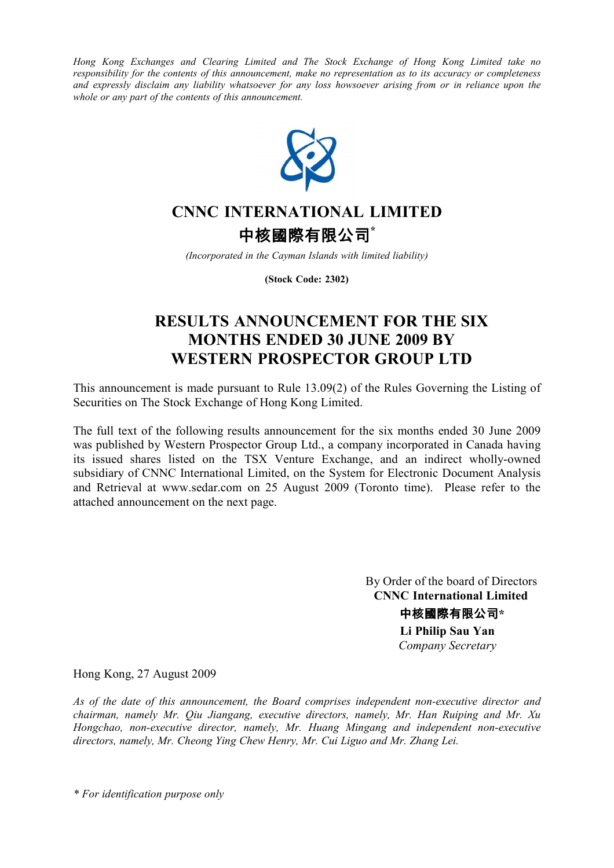*Hong Kong Exchanges and Clearing Limited and The Stock Exchange of Hong Kong Limited take no responsibility for the contents of this announcement, make no representation as to its accuracy or completeness and expressly disclaim any liability whatsoever for any loss howsoever arising from or in reliance upon the whole or any part of the contents of this announcement.* 



## **CNNC INTERNATIONAL LIMITED**

中核國際有限公司**\***

*(Incorporated in the Cayman Islands with limited liability)*

**(Stock Code: 2302)**

## **RESULTS ANNOUNCEMENT FOR THE SIX MONTHS ENDED 30 JUNE 2009 BY WESTERN PROSPECTOR GROUP LTD**

This announcement is made pursuant to Rule 13.09(2) of the Rules Governing the Listing of Securities on The Stock Exchange of Hong Kong Limited.

The full text of the following results announcement for the six months ended 30 June 2009 was published by Western Prospector Group Ltd., a company incorporated in Canada having its issued shares listed on the TSX Venture Exchange, and an indirect wholly-owned subsidiary of CNNC International Limited, on the System for Electronic Document Analysis and Retrieval at www.sedar.com on 25 August 2009 (Toronto time). Please refer to the attached announcement on the next page.

> By Order of the board of Directors  **CNNC International Limited** 中核國際有限公司**\* Li Philip Sau Yan**   *Company Secretary*

Hong Kong, 27 August 2009

*As of the date of this announcement, the Board comprises independent non-executive director and chairman, namely Mr. Qiu Jiangang, executive directors, namely, Mr. Han Ruiping and Mr. Xu Hongchao, non-executive director, namely, Mr. Huang Mingang and independent non-executive directors, namely, Mr. Cheong Ying Chew Henry, Mr. Cui Liguo and Mr. Zhang Lei.* 

*\* For identification purpose only*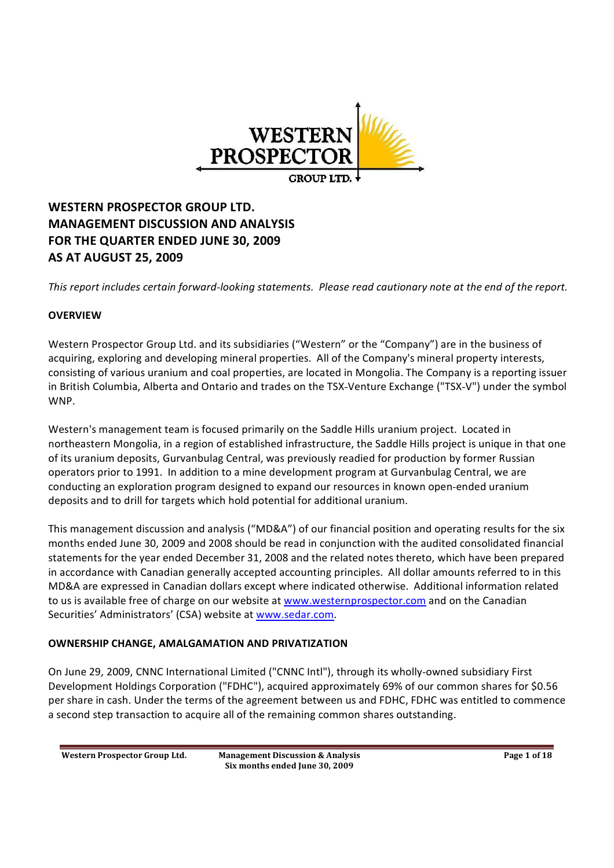

## **WESTERN PROSPECTOR GROUP LTD. MANAGEMENT DISCUSSION AND ANALYSIS FOR THE QUARTER ENDED JUNE 30, 2009 AS AT AUGUST 25, 2009**

*This report includes certain forward looking statements. Please read cautionary note at the end of the report.*

## **OVERVIEW**

Western Prospector Group Ltd. and its subsidiaries ("Western" or the "Company") are in the business of acquiring, exploring and developing mineral properties. All of the Company's mineral property interests, consisting of various uranium and coal properties, are located in Mongolia. The Company is a reporting issuer in British Columbia, Alberta and Ontario and trades on the TSX-Venture Exchange ("TSX-V") under the symbol WNP.

Western's management team is focused primarily on the Saddle Hills uranium project. Located in northeastern Mongolia, in a region of established infrastructure, the Saddle Hills project is unique in that one of its uranium deposits, Gurvanbulag Central, was previously readied for production by former Russian operators prior to 1991. In addition to a mine development program at Gurvanbulag Central, we are conducting an exploration program designed to expand our resources in known open ended uranium deposits and to drill for targets which hold potential for additional uranium.

This management discussion and analysis ("MD&A") of our financial position and operating results for the six months ended June 30, 2009 and 2008 should be read in conjunction with the audited consolidated financial statements for the year ended December 31, 2008 and the related notes thereto, which have been prepared in accordance with Canadian generally accepted accounting principles. All dollar amounts referred to in this MD&A are expressed in Canadian dollars except where indicated otherwise. Additional information related to us is available free of charge on our website at www.westernprospector.com and on the Canadian Securities' Administrators' (CSA) website at www.sedar.com.

### **OWNERSHIP CHANGE, AMALGAMATION AND PRIVATIZATION**

On June 29, 2009, CNNC International Limited ("CNNC Intl"), through its wholly owned subsidiary First Development Holdings Corporation ("FDHC"), acquired approximately 69% of our common shares for \$0.56 per share in cash. Under the terms of the agreement between us and FDHC, FDHC was entitled to commence a second step transaction to acquire all of the remaining common shares outstanding.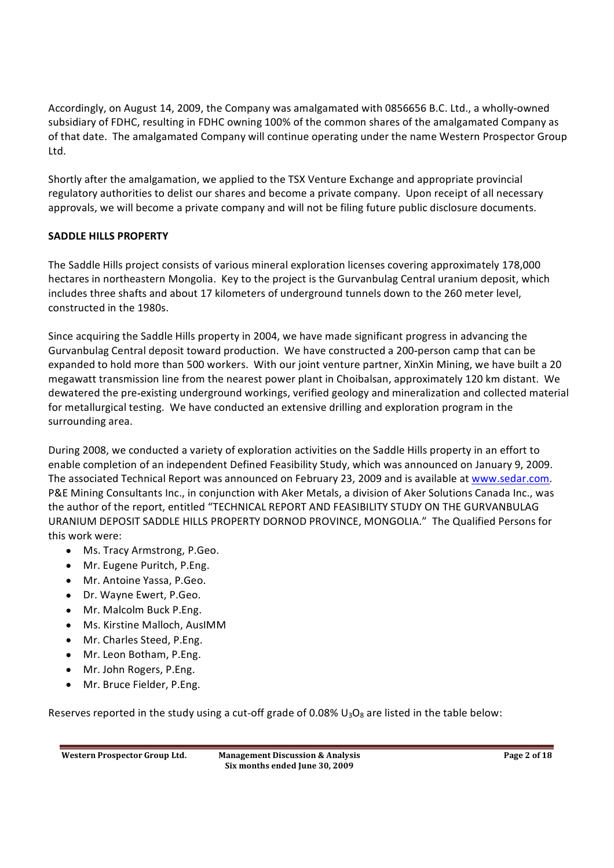Accordingly, on August 14, 2009, the Company was amalgamated with 0856656 B.C. Ltd., a wholly owned subsidiary of FDHC, resulting in FDHC owning 100% of the common shares of the amalgamated Company as of that date. The amalgamated Company will continue operating under the name Western Prospector Group Ltd.

Shortly after the amalgamation, we applied to the TSX Venture Exchange and appropriate provincial regulatory authorities to delist our shares and become a private company. Upon receipt of all necessary approvals, we will become a private company and will not be filing future public disclosure documents.

## **SADDLE HILLS PROPERTY**

The Saddle Hills project consists of various mineral exploration licenses covering approximately 178,000 hectares in northeastern Mongolia. Key to the project is the Gurvanbulag Central uranium deposit, which includes three shafts and about 17 kilometers of underground tunnels down to the 260 meter level, constructed in the 1980s.

Since acquiring the Saddle Hills property in 2004, we have made significant progress in advancing the Gurvanbulag Central deposit toward production. We have constructed a 200-person camp that can be expanded to hold more than 500 workers. With our joint venture partner, XinXin Mining, we have built a 20 megawatt transmission line from the nearest power plant in Choibalsan, approximately 120 km distant. We dewatered the pre existing underground workings, verified geology and mineralization and collected material for metallurgical testing. We have conducted an extensive drilling and exploration program in the surrounding area.

During 2008, we conducted a variety of exploration activities on the Saddle Hills property in an effort to enable completion of an independent Defined Feasibility Study, which was announced on January 9, 2009. The associated Technical Report was announced on February 23, 2009 and is available at www.sedar.com. P&E Mining Consultants Inc., in conjunction with Aker Metals, a division of Aker Solutions Canada Inc., was the author of the report, entitled "TECHNICAL REPORT AND FEASIBILITY STUDY ON THE GURVANBULAG URANIUM DEPOSIT SADDLE HILLS PROPERTY DORNOD PROVINCE, MONGOLIA. The Qualified Persons for this work were:

- Ms. Tracy Armstrong, P.Geo.
- Mr. Eugene Puritch, P.Eng.
- Mr. Antoine Yassa, P.Geo.
- Dr. Wayne Ewert, P.Geo.
- Mr. Malcolm Buck P.Eng.
- Ms. Kirstine Malloch, AusIMM  $\bullet$
- Mr. Charles Steed, P.Eng.
- Mr. Leon Botham, P.Eng.
- Mr. John Rogers, P.Eng.
- Mr. Bruce Fielder, P.Eng.

Reserves reported in the study using a cut-off grade of 0.08%  $U_3O_8$  are listed in the table below: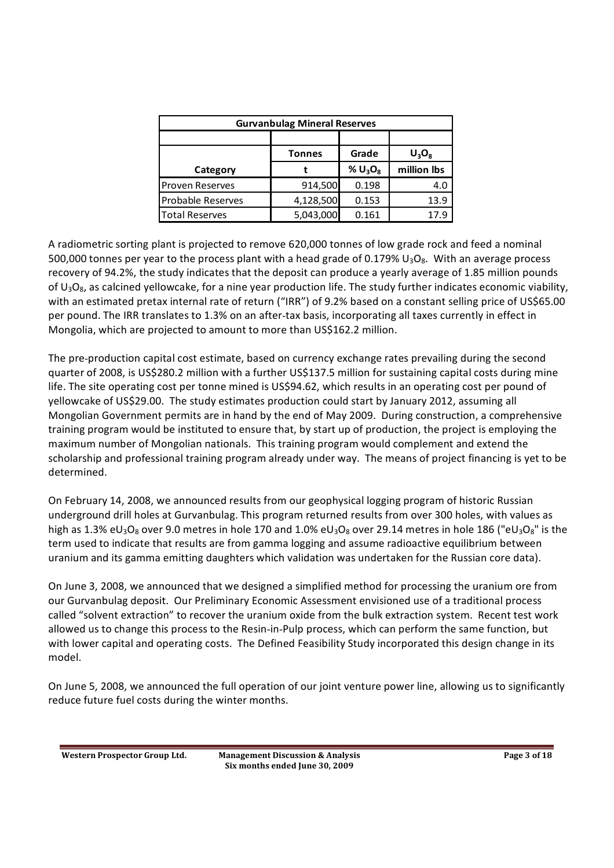| <b>Gurvanbulag Mineral Reserves</b> |           |            |             |  |  |  |
|-------------------------------------|-----------|------------|-------------|--|--|--|
|                                     |           |            |             |  |  |  |
| Grade<br>$U_3O_8$<br><b>Tonnes</b>  |           |            |             |  |  |  |
| Category                            |           | % $U_3O_8$ | million lbs |  |  |  |
| <b>Proven Reserves</b>              | 914,500   | 0.198      | 4.0         |  |  |  |
| <b>Probable Reserves</b>            | 4,128,500 | 0.153      | 13.9        |  |  |  |
| <b>Total Reserves</b>               | 5,043,000 | 0.161      | 17.9        |  |  |  |

A radiometric sorting plant is projected to remove 620,000 tonnes of low grade rock and feed a nominal 500,000 tonnes per year to the process plant with a head grade of 0.179%  $U_3O_8$ . With an average process recovery of 94.2%, the study indicates that the deposit can produce a yearly average of 1.85 million pounds of  $U_3O_8$ , as calcined yellowcake, for a nine year production life. The study further indicates economic viability, with an estimated pretax internal rate of return ("IRR") of 9.2% based on a constant selling price of US\$65.00 per pound. The IRR translates to 1.3% on an after tax basis, incorporating all taxes currently in effect in Mongolia, which are projected to amount to more than US\$162.2 million.

The pre production capital cost estimate, based on currency exchange rates prevailing during the second quarter of 2008, is US\$280.2 million with a further US\$137.5 million for sustaining capital costs during mine life. The site operating cost per tonne mined is US\$94.62, which results in an operating cost per pound of yellowcake of US\$29.00. The study estimates production could start by January 2012, assuming all Mongolian Government permits are in hand by the end of May 2009. During construction, a comprehensive training program would be instituted to ensure that, by start up of production, the project is employing the maximum number of Mongolian nationals. This training program would complement and extend the scholarship and professional training program already under way. The means of project financing is yet to be determined.

On February 14, 2008, we announced results from our geophysical logging program of historic Russian underground drill holes at Gurvanbulag. This program returned results from over 300 holes, with values as high as 1.3% eU<sub>3</sub>O<sub>8</sub> over 9.0 metres in hole 170 and 1.0% eU<sub>3</sub>O<sub>8</sub> over 29.14 metres in hole 186 ("eU<sub>3</sub>O<sub>8</sub>" is the term used to indicate that results are from gamma logging and assume radioactive equilibrium between uranium and its gamma emitting daughters which validation was undertaken for the Russian core data).

On June 3, 2008, we announced that we designed a simplified method for processing the uranium ore from our Gurvanbulag deposit. Our Preliminary Economic Assessment envisioned use of a traditional process called "solvent extraction" to recover the uranium oxide from the bulk extraction system. Recent test work allowed us to change this process to the Resin in Pulp process, which can perform the same function, but with lower capital and operating costs. The Defined Feasibility Study incorporated this design change in its model.

On June 5, 2008, we announced the full operation of our joint venture power line, allowing us to significantly reduce future fuel costs during the winter months.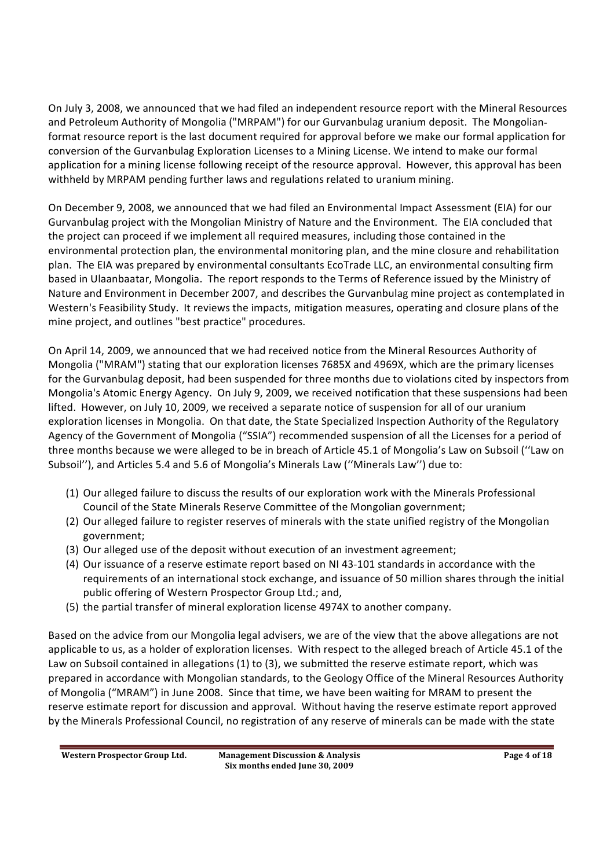On July 3, 2008, we announced that we had filed an independent resource report with the Mineral Resources and Petroleum Authority of Mongolia ("MRPAM") for our Gurvanbulag uranium deposit. The Mongolian format resource report is the last document required for approval before we make our formal application for conversion of the Gurvanbulag Exploration Licenses to a Mining License. We intend to make our formal application for a mining license following receipt of the resource approval. However, this approval has been withheld by MRPAM pending further laws and regulations related to uranium mining.

On December 9, 2008, we announced that we had filed an Environmental Impact Assessment (EIA) for our Gurvanbulag project with the Mongolian Ministry of Nature and the Environment. The EIA concluded that the project can proceed if we implement all required measures, including those contained in the environmental protection plan, the environmental monitoring plan, and the mine closure and rehabilitation plan. The EIA was prepared by environmental consultants EcoTrade LLC, an environmental consulting firm based in Ulaanbaatar, Mongolia. The report responds to the Terms of Reference issued by the Ministry of Nature and Environment in December 2007, and describes the Gurvanbulag mine project as contemplated in Western's Feasibility Study. It reviews the impacts, mitigation measures, operating and closure plans of the mine project, and outlines "best practice" procedures.

On April 14, 2009, we announced that we had received notice from the Mineral Resources Authority of Mongolia ("MRAM") stating that our exploration licenses 7685X and 4969X, which are the primary licenses for the Gurvanbulag deposit, had been suspended for three months due to violations cited by inspectors from Mongolia's Atomic Energy Agency. On July 9, 2009, we received notification that these suspensions had been lifted. However, on July 10, 2009, we received a separate notice of suspension for all of our uranium exploration licenses in Mongolia. On that date, the State Specialized Inspection Authority of the Regulatory Agency of the Government of Mongolia ("SSIA") recommended suspension of all the Licenses for a period of three months because we were alleged to be in breach of Article 45.1 of Mongolia's Law on Subsoil ("Law on Subsoil"), and Articles 5.4 and 5.6 of Mongolia's Minerals Law ("Minerals Law") due to:

- (1) Our alleged failure to discuss the results of our exploration work with the Minerals Professional Council of the State Minerals Reserve Committee of the Mongolian government;
- (2) Our alleged failure to register reserves of minerals with the state unified registry of the Mongolian government;
- (3) Our alleged use of the deposit without execution of an investment agreement;
- (4) Our issuance of a reserve estimate report based on NI 43 101 standards in accordance with the requirements of an international stock exchange, and issuance of 50 million shares through the initial public offering of Western Prospector Group Ltd.; and,
- (5) the partial transfer of mineral exploration license 4974X to another company.

Based on the advice from our Mongolia legal advisers, we are of the view that the above allegations are not applicable to us, as a holder of exploration licenses. With respect to the alleged breach of Article 45.1 of the Law on Subsoil contained in allegations (1) to (3), we submitted the reserve estimate report, which was prepared in accordance with Mongolian standards, to the Geology Office of the Mineral Resources Authority of Mongolia ("MRAM") in June 2008. Since that time, we have been waiting for MRAM to present the reserve estimate report for discussion and approval. Without having the reserve estimate report approved by the Minerals Professional Council, no registration of any reserve of minerals can be made with the state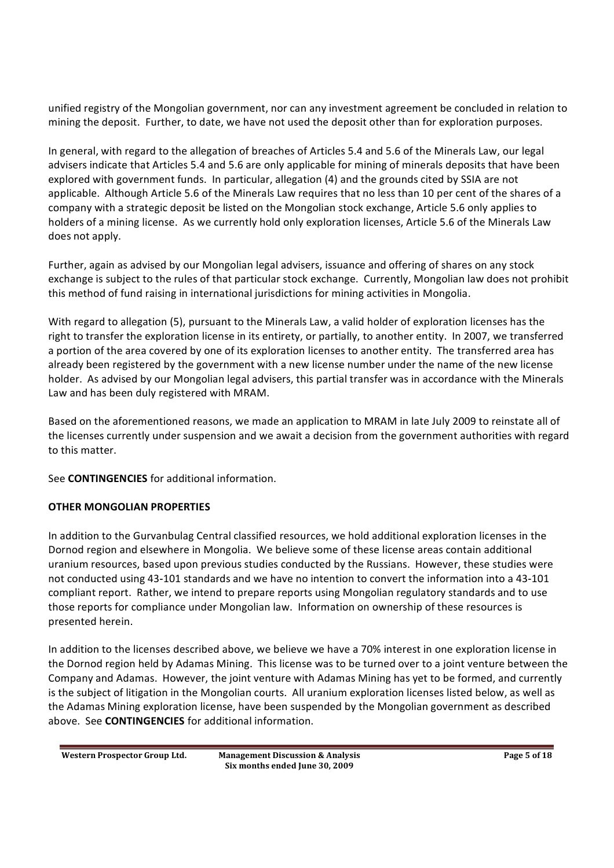unified registry of the Mongolian government, nor can any investment agreement be concluded in relation to mining the deposit. Further, to date, we have not used the deposit other than for exploration purposes.

In general, with regard to the allegation of breaches of Articles 5.4 and 5.6 of the Minerals Law, our legal advisers indicate that Articles 5.4 and 5.6 are only applicable for mining of minerals deposits that have been explored with government funds. In particular, allegation (4) and the grounds cited by SSIA are not applicable. Although Article 5.6 of the Minerals Law requires that no less than 10 per cent of the shares of a company with a strategic deposit be listed on the Mongolian stock exchange, Article 5.6 only applies to holders of a mining license. As we currently hold only exploration licenses, Article 5.6 of the Minerals Law does not apply.

Further, again as advised by our Mongolian legal advisers, issuance and offering of shares on any stock exchange is subject to the rules of that particular stock exchange. Currently, Mongolian law does not prohibit this method of fund raising in international jurisdictions for mining activities in Mongolia.

With regard to allegation (5), pursuant to the Minerals Law, a valid holder of exploration licenses has the right to transfer the exploration license in its entirety, or partially, to another entity. In 2007, we transferred a portion of the area covered by one of its exploration licenses to another entity. The transferred area has already been registered by the government with a new license number under the name of the new license holder. As advised by our Mongolian legal advisers, this partial transfer was in accordance with the Minerals Law and has been duly registered with MRAM.

Based on the aforementioned reasons, we made an application to MRAM in late July 2009 to reinstate all of the licenses currently under suspension and we await a decision from the government authorities with regard to this matter.

See **CONTINGENCIES** for additional information.

## **OTHER MONGOLIAN PROPERTIES**

In addition to the Gurvanbulag Central classified resources, we hold additional exploration licenses in the Dornod region and elsewhere in Mongolia. We believe some of these license areas contain additional uranium resources, based upon previous studies conducted by the Russians. However, these studies were not conducted using 43 101 standards and we have no intention to convert the information into a 43 101 compliant report. Rather, we intend to prepare reports using Mongolian regulatory standards and to use those reports for compliance under Mongolian law. Information on ownership of these resources is presented herein.

In addition to the licenses described above, we believe we have a 70% interest in one exploration license in the Dornod region held by Adamas Mining. This license was to be turned over to a joint venture between the Company and Adamas. However, the joint venture with Adamas Mining has yet to be formed, and currently is the subject of litigation in the Mongolian courts. All uranium exploration licenses listed below, as well as the Adamas Mining exploration license, have been suspended by the Mongolian government as described above. See **CONTINGENCIES** for additional information.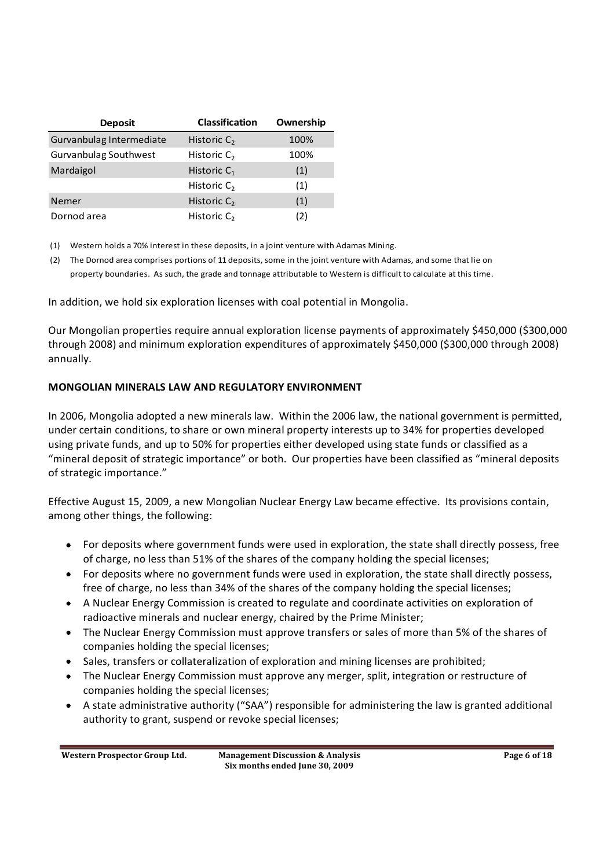| <b>Deposit</b>           | <b>Classification</b> | Ownership |
|--------------------------|-----------------------|-----------|
| Gurvanbulag Intermediate | Historic $C_2$        | 100%      |
| Gurvanbulag Southwest    | Historic $C_2$        | 100%      |
| Mardaigol                | Historic $C_1$        | (1)       |
|                          | Historic $C_2$        | (1)       |
| Nemer                    | Historic $C_2$        | (1)       |
| Dornod area              | Historic $C_2$        | (2)       |

(1) Western holds a 70% interest in these deposits, in a joint venture with Adamas Mining.

(2) The Dornod area comprises portions of 11 deposits, some in the joint venture with Adamas, and some that lie on property boundaries. As such, the grade and tonnage attributable to Western is difficult to calculate at this time.

In addition, we hold six exploration licenses with coal potential in Mongolia.

Our Mongolian properties require annual exploration license payments of approximately \$450,000 (\$300,000 through 2008) and minimum exploration expenditures of approximately \$450,000 (\$300,000 through 2008) annually.

### **MONGOLIAN MINERALS LAW AND REGULATORY ENVIRONMENT**

In 2006, Mongolia adopted a new minerals law. Within the 2006 law, the national government is permitted, under certain conditions, to share or own mineral property interests up to 34% for properties developed using private funds, and up to 50% for properties either developed using state funds or classified as a "mineral deposit of strategic importance" or both. Our properties have been classified as "mineral deposits of strategic importance.

Effective August 15, 2009, a new Mongolian Nuclear Energy Law became effective. Its provisions contain, among other things, the following:

- For deposits where government funds were used in exploration, the state shall directly possess, free of charge, no less than 51% of the shares of the company holding the special licenses;
- For deposits where no government funds were used in exploration, the state shall directly possess, free of charge, no less than 34% of the shares of the company holding the special licenses;
- A Nuclear Energy Commission is created to regulate and coordinate activities on exploration of radioactive minerals and nuclear energy, chaired by the Prime Minister;
- The Nuclear Energy Commission must approve transfers or sales of more than 5% of the shares of companies holding the special licenses;
- Sales, transfers or collateralization of exploration and mining licenses are prohibited:
- The Nuclear Energy Commission must approve any merger, split, integration or restructure of companies holding the special licenses;
- A state administrative authority ("SAA") responsible for administering the law is granted additional authority to grant, suspend or revoke special licenses;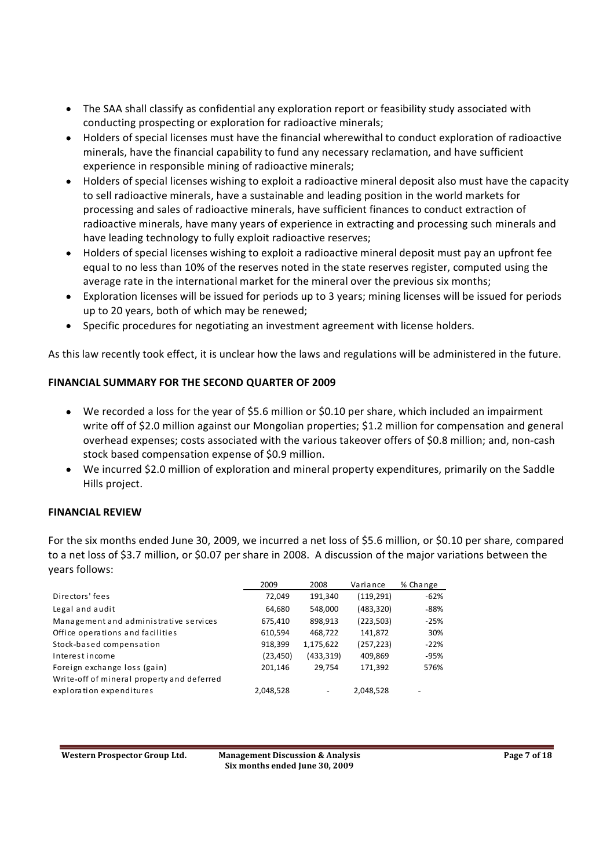- The SAA shall classify as confidential any exploration report or feasibility study associated with conducting prospecting or exploration for radioactive minerals;
- Holders of special licenses must have the financial wherewithal to conduct exploration of radioactive minerals, have the financial capability to fund any necessary reclamation, and have sufficient experience in responsible mining of radioactive minerals;
- Holders of special licenses wishing to exploit a radioactive mineral deposit also must have the capacity to sell radioactive minerals, have a sustainable and leading position in the world markets for processing and sales of radioactive minerals, have sufficient finances to conduct extraction of radioactive minerals, have many years of experience in extracting and processing such minerals and have leading technology to fully exploit radioactive reserves;
- Holders of special licenses wishing to exploit a radioactive mineral deposit must pay an upfront fee equal to no less than 10% of the reserves noted in the state reserves register, computed using the average rate in the international market for the mineral over the previous six months;
- Exploration licenses will be issued for periods up to 3 years; mining licenses will be issued for periods up to 20 years, both of which may be renewed;
- Specific procedures for negotiating an investment agreement with license holders.

As this law recently took effect, it is unclear how the laws and regulations will be administered in the future.

## **FINANCIAL SUMMARY FOR THE SECOND QUARTER OF 2009**

- We recorded a loss for the year of \$5.6 million or \$0.10 per share, which included an impairment write off of \$2.0 million against our Mongolian properties; \$1.2 million for compensation and general overhead expenses; costs associated with the various takeover offers of \$0.8 million; and, non cash stock based compensation expense of \$0.9 million.
- We incurred \$2.0 million of exploration and mineral property expenditures, primarily on the Saddle Hills project.

### **FINANCIAL REVIEW**

For the six months ended June 30, 2009, we incurred a net loss of \$5.6 million, or \$0.10 per share, compared to a net loss of \$3.7 million, or \$0.07 per share in 2008. A discussion of the major variations between the years follows:

|                                            | 2009      | 2008                     | Variance   | % Change |
|--------------------------------------------|-----------|--------------------------|------------|----------|
| Directors' fees                            | 72,049    | 191,340                  | (119, 291) | $-62%$   |
| Legal and audit                            | 64,680    | 548,000                  | (483, 320) | -88%     |
| Management and administrative services     | 675,410   | 898,913                  | (223, 503) | $-25%$   |
| Office operations and facilities           | 610,594   | 468,722                  | 141,872    | 30%      |
| Stock-based compensation                   | 918,399   | 1,175,622                | (257, 223) | $-22%$   |
| Interest income                            | (23, 450) | (433, 319)               | 409,869    | -95%     |
| Foreign exchange loss (gain)               | 201,146   | 29,754                   | 171,392    | 576%     |
| Write-off of mineral property and deferred |           |                          |            |          |
| exploration expenditures                   | 2,048,528 | $\overline{\phantom{0}}$ | 2,048,528  |          |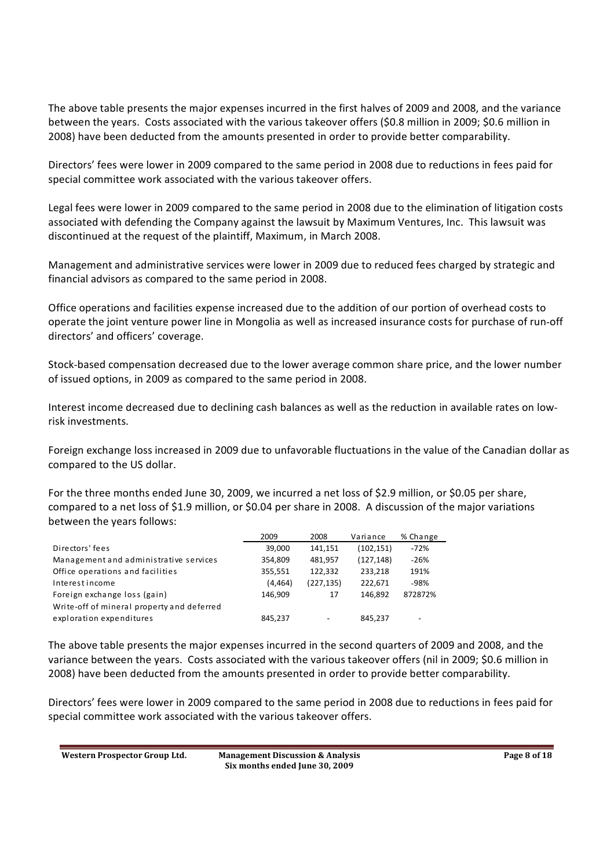The above table presents the major expenses incurred in the first halves of 2009 and 2008, and the variance between the years. Costs associated with the various takeover offers (\$0.8 million in 2009; \$0.6 million in 2008) have been deducted from the amounts presented in order to provide better comparability.

Directors' fees were lower in 2009 compared to the same period in 2008 due to reductions in fees paid for special committee work associated with the various takeover offers.

Legal fees were lower in 2009 compared to the same period in 2008 due to the elimination of litigation costs associated with defending the Company against the lawsuit by Maximum Ventures, Inc. This lawsuit was discontinued at the request of the plaintiff, Maximum, in March 2008.

Management and administrative services were lower in 2009 due to reduced fees charged by strategic and financial advisors as compared to the same period in 2008.

Office operations and facilities expense increased due to the addition of our portion of overhead costs to operate the joint venture power line in Mongolia as well as increased insurance costs for purchase of run off directors' and officers' coverage.

Stock based compensation decreased due to the lower average common share price, and the lower number of issued options, in 2009 as compared to the same period in 2008.

Interest income decreased due to declining cash balances as well as the reduction in available rates on low risk investments.

Foreign exchange loss increased in 2009 due to unfavorable fluctuations in the value of the Canadian dollar as compared to the US dollar.

For the three months ended June 30, 2009, we incurred a net loss of \$2.9 million, or \$0.05 per share, compared to a net loss of \$1.9 million, or \$0.04 per share in 2008. A discussion of the major variations between the years follows:

|                                            | 2009     | 2008                     | Variance   | % Change |
|--------------------------------------------|----------|--------------------------|------------|----------|
| Directors' fees                            | 39.000   | 141,151                  | (102, 151) | $-72%$   |
| Management and administrative services     | 354.809  | 481,957                  | (127, 148) | $-26%$   |
| Office operations and facilities           | 355,551  | 122.332                  | 233,218    | 191%     |
| Interest income                            | (4, 464) | (227, 135)               | 222.671    | -98%     |
| Foreign exchange loss (gain)               | 146,909  | 17                       | 146.892    | 872872%  |
| Write-off of mineral property and deferred |          |                          |            |          |
| exploration expenditures                   | 845,237  | $\overline{\phantom{a}}$ | 845,237    | -        |

The above table presents the major expenses incurred in the second quarters of 2009 and 2008, and the variance between the years. Costs associated with the various takeover offers (nil in 2009; \$0.6 million in 2008) have been deducted from the amounts presented in order to provide better comparability.

Directors fees were lower in 2009 compared to the same period in 2008 due to reductions in fees paid for special committee work associated with the various takeover offers.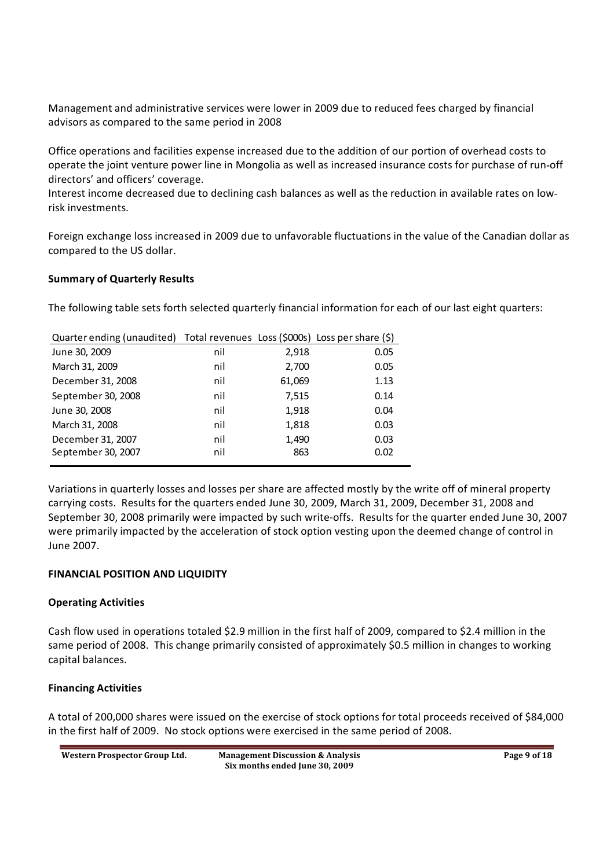Management and administrative services were lower in 2009 due to reduced fees charged by financial advisors as compared to the same period in 2008

Office operations and facilities expense increased due to the addition of our portion of overhead costs to operate the joint venture power line in Mongolia as well as increased insurance costs for purchase of run off directors' and officers' coverage.

Interest income decreased due to declining cash balances as well as the reduction in available rates on low risk investments.

Foreign exchange loss increased in 2009 due to unfavorable fluctuations in the value of the Canadian dollar as compared to the US dollar.

### **Summary of Quarterly Results**

The following table sets forth selected quarterly financial information for each of our last eight quarters:

| Quarter ending (unaudited) Total revenues Loss (\$000s) Loss per share (\$) |     |        |      |
|-----------------------------------------------------------------------------|-----|--------|------|
| June 30, 2009                                                               | nil | 2,918  | 0.05 |
| March 31, 2009                                                              | nil | 2,700  | 0.05 |
| December 31, 2008                                                           | nil | 61,069 | 1.13 |
| September 30, 2008                                                          | nil | 7,515  | 0.14 |
| June 30, 2008                                                               | nil | 1,918  | 0.04 |
| March 31, 2008                                                              | nil | 1,818  | 0.03 |
| December 31, 2007                                                           | nil | 1,490  | 0.03 |
| September 30, 2007                                                          | nil | 863    | 0.02 |

Variations in quarterly losses and losses per share are affected mostly by the write off of mineral property carrying costs. Results for the quarters ended June 30, 2009, March 31, 2009, December 31, 2008 and September 30, 2008 primarily were impacted by such write offs. Results for the quarter ended June 30, 2007 were primarily impacted by the acceleration of stock option vesting upon the deemed change of control in June 2007.

### **FINANCIAL POSITION AND LIQUIDITY**

### **Operating Activities**

Cash flow used in operations totaled \$2.9 million in the first half of 2009, compared to \$2.4 million in the same period of 2008. This change primarily consisted of approximately \$0.5 million in changes to working capital balances.

#### **Financing Activities**

A total of 200,000 shares were issued on the exercise of stock options for total proceeds received of \$84,000 in the first half of 2009. No stock options were exercised in the same period of 2008.

| Western Prospector Group Ltd. | <b>Management Discussion &amp; Analysis</b> | Page 9 of 18 |
|-------------------------------|---------------------------------------------|--------------|
|                               | Six months ended June 30, 2009              |              |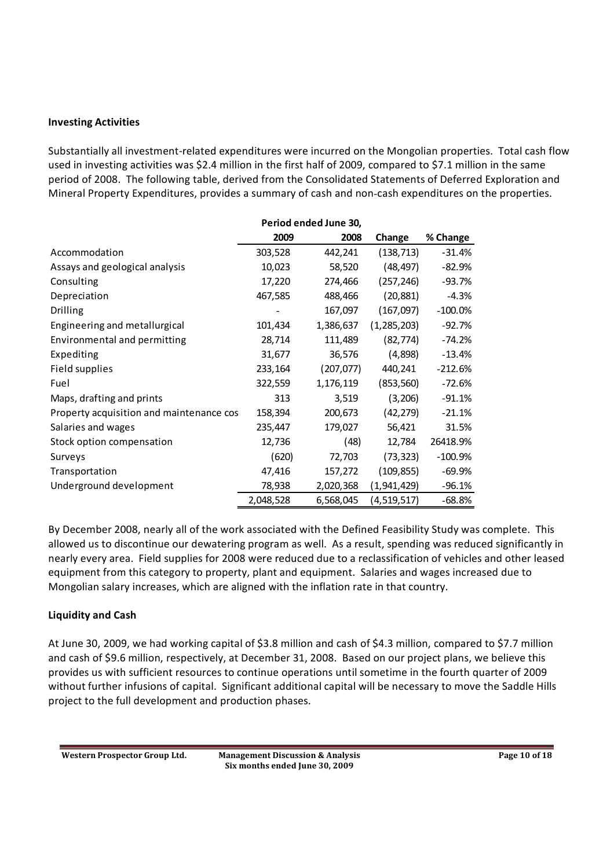#### **Investing Activities**

Substantially all investment related expenditures were incurred on the Mongolian properties. Total cash flow used in investing activities was \$2.4 million in the first half of 2009, compared to \$7.1 million in the same period of 2008. The following table, derived from the Consolidated Statements of Deferred Exploration and Mineral Property Expenditures, provides a summary of cash and non cash expenditures on the properties.

|                                          | Period ended June 30, |            |               |           |
|------------------------------------------|-----------------------|------------|---------------|-----------|
|                                          | 2009                  | 2008       | Change        | % Change  |
| Accommodation                            | 303,528               | 442,241    | (138, 713)    | $-31.4%$  |
| Assays and geological analysis           | 10,023                | 58,520     | (48, 497)     | $-82.9%$  |
| Consulting                               | 17,220                | 274,466    | (257, 246)    | $-93.7%$  |
| Depreciation                             | 467,585               | 488,466    | (20, 881)     | $-4.3%$   |
| <b>Drilling</b>                          |                       | 167,097    | (167,097)     | $-100.0%$ |
| Engineering and metallurgical            | 101,434               | 1,386,637  | (1, 285, 203) | $-92.7%$  |
| Environmental and permitting             | 28,714                | 111,489    | (82, 774)     | $-74.2%$  |
| Expediting                               | 31,677                | 36,576     | (4,898)       | $-13.4%$  |
| Field supplies                           | 233,164               | (207, 077) | 440,241       | $-212.6%$ |
| Fuel                                     | 322,559               | 1,176,119  | (853, 560)    | $-72.6%$  |
| Maps, drafting and prints                | 313                   | 3,519      | (3,206)       | $-91.1%$  |
| Property acquisition and maintenance cos | 158,394               | 200,673    | (42, 279)     | $-21.1%$  |
| Salaries and wages                       | 235,447               | 179,027    | 56,421        | 31.5%     |
| Stock option compensation                | 12,736                | (48)       | 12,784        | 26418.9%  |
| Surveys                                  | (620)                 | 72,703     | (73, 323)     | $-100.9%$ |
| Transportation                           | 47,416                | 157,272    | (109, 855)    | $-69.9%$  |
| Underground development                  | 78,938                | 2,020,368  | (1,941,429)   | -96.1%    |
|                                          | 2,048,528             | 6,568,045  | (4,519,517)   | $-68.8%$  |

By December 2008, nearly all of the work associated with the Defined Feasibility Study was complete. This allowed us to discontinue our dewatering program as well. As a result, spending was reduced significantly in nearly every area. Field supplies for 2008 were reduced due to a reclassification of vehicles and other leased equipment from this category to property, plant and equipment. Salaries and wages increased due to Mongolian salary increases, which are aligned with the inflation rate in that country.

### **Liquidity and Cash**

At June 30, 2009, we had working capital of \$3.8 million and cash of \$4.3 million, compared to \$7.7 million and cash of \$9.6 million, respectively, at December 31, 2008. Based on our project plans, we believe this provides us with sufficient resources to continue operations until sometime in the fourth quarter of 2009 without further infusions of capital. Significant additional capital will be necessary to move the Saddle Hills project to the full development and production phases.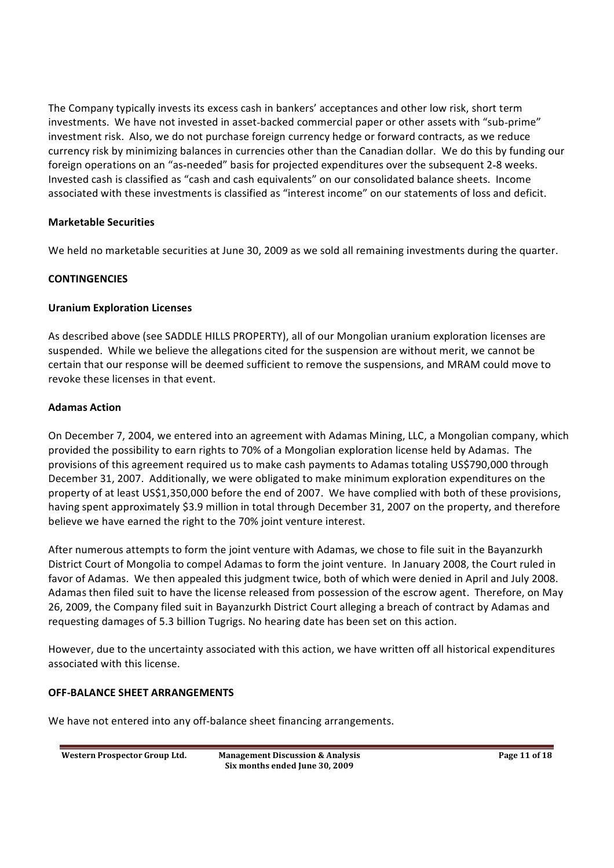The Company typically invests its excess cash in bankers' acceptances and other low risk, short term investments. We have not invested in asset-backed commercial paper or other assets with "sub-prime" investment risk. Also, we do not purchase foreign currency hedge or forward contracts, as we reduce currency risk by minimizing balances in currencies other than the Canadian dollar. We do this by funding our foreign operations on an "as-needed" basis for projected expenditures over the subsequent 2-8 weeks. Invested cash is classified as "cash and cash equivalents" on our consolidated balance sheets. Income associated with these investments is classified as "interest income" on our statements of loss and deficit.

## **Marketable Securities**

We held no marketable securities at June 30, 2009 as we sold all remaining investments during the quarter.

## **CONTINGENCIES**

### **Uranium Exploration Licenses**

As described above (see SADDLE HILLS PROPERTY), all of our Mongolian uranium exploration licenses are suspended. While we believe the allegations cited for the suspension are without merit, we cannot be certain that our response will be deemed sufficient to remove the suspensions, and MRAM could move to revoke these licenses in that event.

## **Adamas Action**

On December 7, 2004, we entered into an agreement with Adamas Mining, LLC, a Mongolian company, which provided the possibility to earn rights to 70% of a Mongolian exploration license held by Adamas. The provisions of this agreement required us to make cash payments to Adamas totaling US\$790,000 through December 31, 2007. Additionally, we were obligated to make minimum exploration expenditures on the property of at least US\$1,350,000 before the end of 2007. We have complied with both of these provisions, having spent approximately \$3.9 million in total through December 31, 2007 on the property, and therefore believe we have earned the right to the 70% joint venture interest.

After numerous attempts to form the joint venture with Adamas, we chose to file suit in the Bayanzurkh District Court of Mongolia to compel Adamas to form the joint venture. In January 2008, the Court ruled in favor of Adamas. We then appealed this judgment twice, both of which were denied in April and July 2008. Adamas then filed suit to have the license released from possession of the escrow agent. Therefore, on May 26, 2009, the Company filed suit in Bayanzurkh District Court alleging a breach of contract by Adamas and requesting damages of 5.3 billion Tugrigs. No hearing date has been set on this action.

However, due to the uncertainty associated with this action, we have written off all historical expenditures associated with this license.

### **OFF BALANCE SHEET ARRANGEMENTS**

We have not entered into any off-balance sheet financing arrangements.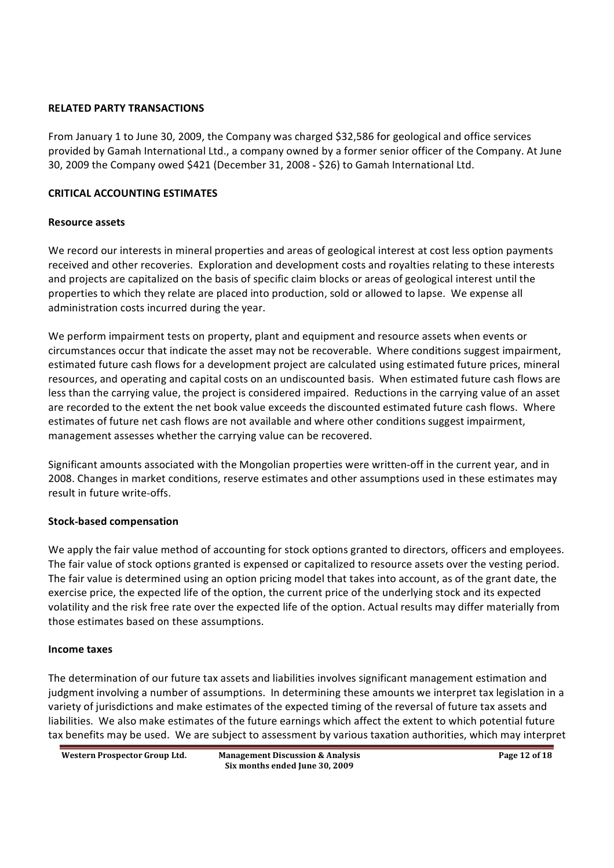#### **RELATED PARTY TRANSACTIONS**

From January 1 to June 30, 2009, the Company was charged \$32,586 for geological and office services provided by Gamah International Ltd., a company owned by a former senior officer of the Company. At June 30, 2009 the Company owed \$421 (December 31, 2008 - \$26) to Gamah International Ltd.

### **CRITICAL ACCOUNTING ESTIMATES**

#### **Resource assets**

We record our interests in mineral properties and areas of geological interest at cost less option payments received and other recoveries. Exploration and development costs and royalties relating to these interests and projects are capitalized on the basis of specific claim blocks or areas of geological interest until the properties to which they relate are placed into production, sold or allowed to lapse. We expense all administration costs incurred during the year.

We perform impairment tests on property, plant and equipment and resource assets when events or circumstances occur that indicate the asset may not be recoverable. Where conditions suggest impairment, estimated future cash flows for a development project are calculated using estimated future prices, mineral resources, and operating and capital costs on an undiscounted basis. When estimated future cash flows are less than the carrying value, the project is considered impaired. Reductions in the carrying value of an asset are recorded to the extent the net book value exceeds the discounted estimated future cash flows. Where estimates of future net cash flows are not available and where other conditions suggest impairment, management assesses whether the carrying value can be recovered.

Significant amounts associated with the Mongolian properties were written off in the current year, and in 2008. Changes in market conditions, reserve estimates and other assumptions used in these estimates may result in future write-offs.

#### **Stock based compensation**

We apply the fair value method of accounting for stock options granted to directors, officers and employees. The fair value of stock options granted is expensed or capitalized to resource assets over the vesting period. The fair value is determined using an option pricing model that takes into account, as of the grant date, the exercise price, the expected life of the option, the current price of the underlying stock and its expected volatility and the risk free rate over the expected life of the option. Actual results may differ materially from those estimates based on these assumptions.

#### **Income taxes**

The determination of our future tax assets and liabilities involves significant management estimation and judgment involving a number of assumptions. In determining these amounts we interpret tax legislation in a variety of jurisdictions and make estimates of the expected timing of the reversal of future tax assets and liabilities. We also make estimates of the future earnings which affect the extent to which potential future tax benefits may be used. We are subject to assessment by various taxation authorities, which may interpret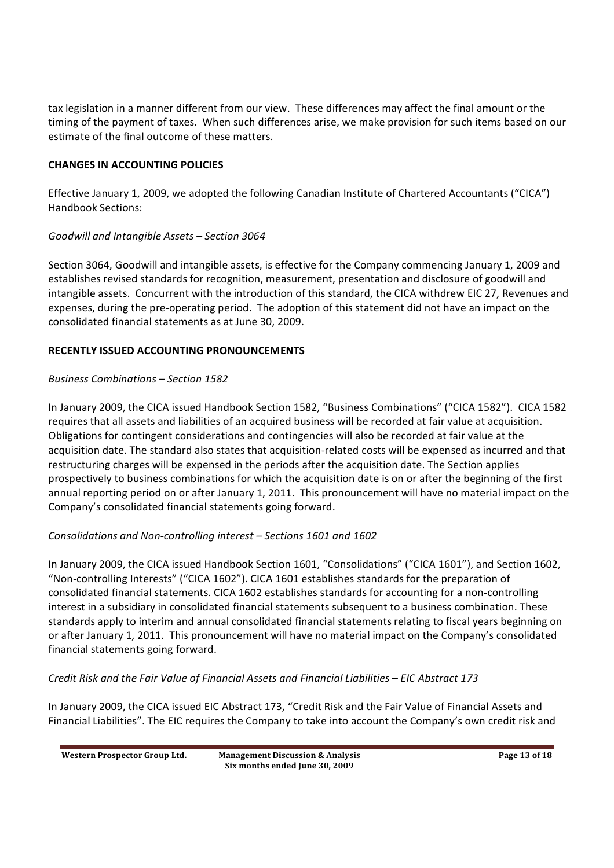tax legislation in a manner different from our view. These differences may affect the final amount or the timing of the payment of taxes. When such differences arise, we make provision for such items based on our estimate of the final outcome of these matters.

### **CHANGES IN ACCOUNTING POLICIES**

Effective January 1, 2009, we adopted the following Canadian Institute of Chartered Accountants ("CICA") Handbook Sections:

## *Goodwill and Intangible Assets Section 3064*

Section 3064, Goodwill and intangible assets, is effective for the Company commencing January 1, 2009 and establishes revised standards for recognition, measurement, presentation and disclosure of goodwill and intangible assets. Concurrent with the introduction of this standard, the CICA withdrew EIC 27, Revenues and expenses, during the pre operating period. The adoption of this statement did not have an impact on the consolidated financial statements as at June 30, 2009.

## **RECENTLY ISSUED ACCOUNTING PRONOUNCEMENTS**

## *Business Combinations Section 1582*

In January 2009, the CICA issued Handbook Section 1582, "Business Combinations" ("CICA 1582"). CICA 1582 requires that all assets and liabilities of an acquired business will be recorded at fair value at acquisition. Obligations for contingent considerations and contingencies will also be recorded at fair value at the acquisition date. The standard also states that acquisition related costs will be expensed as incurred and that restructuring charges will be expensed in the periods after the acquisition date. The Section applies prospectively to business combinations for which the acquisition date is on or after the beginning of the first annual reporting period on or after January 1, 2011. This pronouncement will have no material impact on the Company's consolidated financial statements going forward.

## *Consolidations and Non controlling interest Sections 1601 and 1602*

In January 2009, the CICA issued Handbook Section 1601, "Consolidations" ("CICA 1601"), and Section 1602, "Non-controlling Interests" ("CICA 1602"). CICA 1601 establishes standards for the preparation of consolidated financial statements. CICA 1602 establishes standards for accounting for a non controlling interest in a subsidiary in consolidated financial statements subsequent to a business combination. These standards apply to interim and annual consolidated financial statements relating to fiscal years beginning on or after January 1, 2011. This pronouncement will have no material impact on the Companys consolidated financial statements going forward.

*Credit Risk and the Fair Value of Financial Assets and Financial Liabilities EIC Abstract 173*

In January 2009, the CICA issued EIC Abstract 173, "Credit Risk and the Fair Value of Financial Assets and Financial Liabilities". The EIC requires the Company to take into account the Company's own credit risk and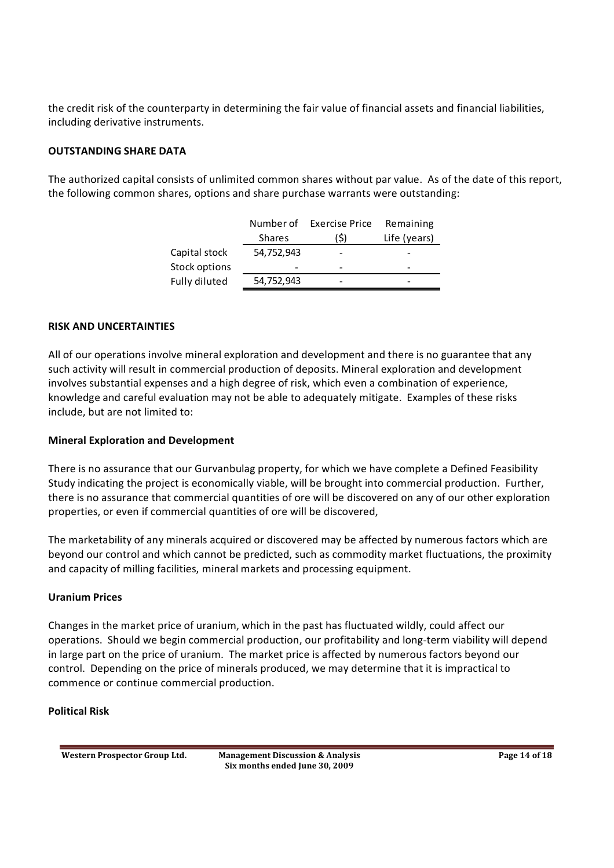the credit risk of the counterparty in determining the fair value of financial assets and financial liabilities, including derivative instruments.

#### **OUTSTANDING SHARE DATA**

The authorized capital consists of unlimited common shares without par value. As of the date of this report, the following common shares, options and share purchase warrants were outstanding:

|               | Number of     | <b>Exercise Price</b> | Remaining    |
|---------------|---------------|-----------------------|--------------|
|               | <b>Shares</b> | (\$)                  | Life (years) |
| Capital stock | 54,752,943    |                       |              |
| Stock options | -             |                       | -            |
| Fully diluted | 54,752,943    |                       | -            |

#### **RISK AND UNCERTAINTIES**

All of our operations involve mineral exploration and development and there is no guarantee that any such activity will result in commercial production of deposits. Mineral exploration and development involves substantial expenses and a high degree of risk, which even a combination of experience, knowledge and careful evaluation may not be able to adequately mitigate. Examples of these risks include, but are not limited to:

#### **Mineral Exploration and Development**

There is no assurance that our Gurvanbulag property, for which we have complete a Defined Feasibility Study indicating the project is economically viable, will be brought into commercial production. Further, there is no assurance that commercial quantities of ore will be discovered on any of our other exploration properties, or even if commercial quantities of ore will be discovered,

The marketability of any minerals acquired or discovered may be affected by numerous factors which are beyond our control and which cannot be predicted, such as commodity market fluctuations, the proximity and capacity of milling facilities, mineral markets and processing equipment.

#### **Uranium Prices**

Changes in the market price of uranium, which in the past has fluctuated wildly, could affect our operations. Should we begin commercial production, our profitability and long term viability will depend in large part on the price of uranium. The market price is affected by numerous factors beyond our control. Depending on the price of minerals produced, we may determine that it is impractical to commence or continue commercial production.

#### **Political Risk**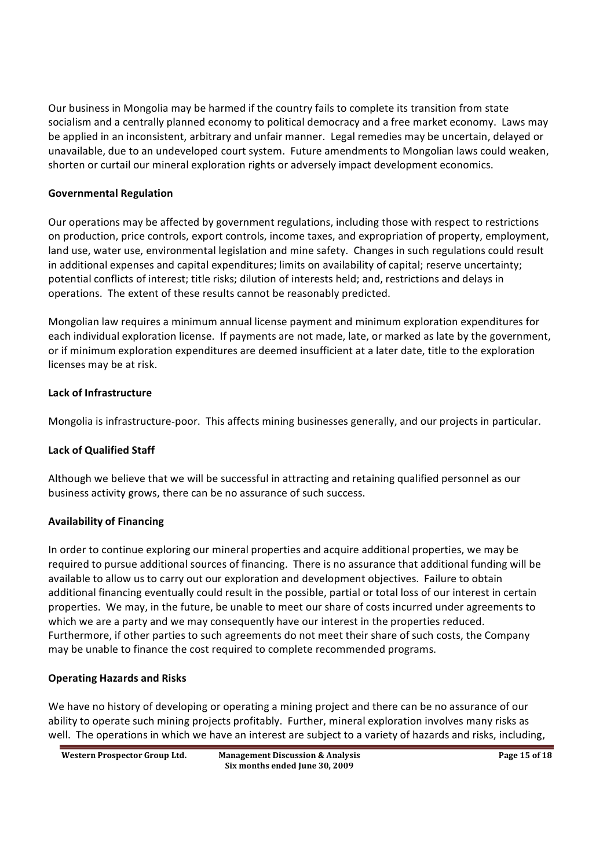Our business in Mongolia may be harmed if the country fails to complete its transition from state socialism and a centrally planned economy to political democracy and a free market economy. Laws may be applied in an inconsistent, arbitrary and unfair manner. Legal remedies may be uncertain, delayed or unavailable, due to an undeveloped court system. Future amendments to Mongolian laws could weaken, shorten or curtail our mineral exploration rights or adversely impact development economics.

### **Governmental Regulation**

Our operations may be affected by government regulations, including those with respect to restrictions on production, price controls, export controls, income taxes, and expropriation of property, employment, land use, water use, environmental legislation and mine safety. Changes in such regulations could result in additional expenses and capital expenditures; limits on availability of capital; reserve uncertainty; potential conflicts of interest; title risks; dilution of interests held; and, restrictions and delays in operations. The extent of these results cannot be reasonably predicted.

Mongolian law requires a minimum annual license payment and minimum exploration expenditures for each individual exploration license. If payments are not made, late, or marked as late by the government, or if minimum exploration expenditures are deemed insufficient at a later date, title to the exploration licenses may be at risk.

## **Lack of Infrastructure**

Mongolia is infrastructure poor. This affects mining businesses generally, and our projects in particular.

## **Lack of Qualified Staff**

Although we believe that we will be successful in attracting and retaining qualified personnel as our business activity grows, there can be no assurance of such success.

## **Availability of Financing**

In order to continue exploring our mineral properties and acquire additional properties, we may be required to pursue additional sources of financing. There is no assurance that additional funding will be available to allow us to carry out our exploration and development objectives. Failure to obtain additional financing eventually could result in the possible, partial or total loss of our interest in certain properties. We may, in the future, be unable to meet our share of costs incurred under agreements to which we are a party and we may consequently have our interest in the properties reduced. Furthermore, if other parties to such agreements do not meet their share of such costs, the Company may be unable to finance the cost required to complete recommended programs.

### **Operating Hazards and Risks**

We have no history of developing or operating a mining project and there can be no assurance of our ability to operate such mining projects profitably. Further, mineral exploration involves many risks as well. The operations in which we have an interest are subject to a variety of hazards and risks, including,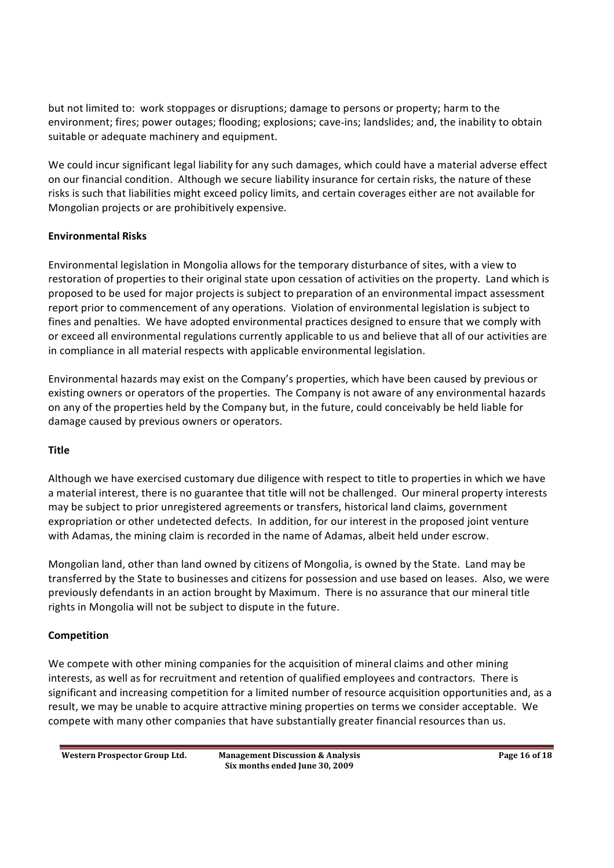but not limited to: work stoppages or disruptions; damage to persons or property; harm to the environment; fires; power outages; flooding; explosions; cave ins; landslides; and, the inability to obtain suitable or adequate machinery and equipment.

We could incur significant legal liability for any such damages, which could have a material adverse effect on our financial condition. Although we secure liability insurance for certain risks, the nature of these risks is such that liabilities might exceed policy limits, and certain coverages either are not available for Mongolian projects or are prohibitively expensive.

## **Environmental Risks**

Environmental legislation in Mongolia allows for the temporary disturbance of sites, with a view to restoration of properties to their original state upon cessation of activities on the property. Land which is proposed to be used for major projects is subject to preparation of an environmental impact assessment report prior to commencement of any operations. Violation of environmental legislation is subject to fines and penalties. We have adopted environmental practices designed to ensure that we comply with or exceed all environmental regulations currently applicable to us and believe that all of our activities are in compliance in all material respects with applicable environmental legislation.

Environmental hazards may exist on the Companys properties, which have been caused by previous or existing owners or operators of the properties. The Company is not aware of any environmental hazards on any of the properties held by the Company but, in the future, could conceivably be held liable for damage caused by previous owners or operators.

### **Title**

Although we have exercised customary due diligence with respect to title to properties in which we have a material interest, there is no guarantee that title will not be challenged. Our mineral property interests may be subject to prior unregistered agreements or transfers, historical land claims, government expropriation or other undetected defects. In addition, for our interest in the proposed joint venture with Adamas, the mining claim is recorded in the name of Adamas, albeit held under escrow.

Mongolian land, other than land owned by citizens of Mongolia, is owned by the State. Land may be transferred by the State to businesses and citizens for possession and use based on leases. Also, we were previously defendants in an action brought by Maximum. There is no assurance that our mineral title rights in Mongolia will not be subject to dispute in the future.

## **Competition**

We compete with other mining companies for the acquisition of mineral claims and other mining interests, as well as for recruitment and retention of qualified employees and contractors. There is significant and increasing competition for a limited number of resource acquisition opportunities and, as a result, we may be unable to acquire attractive mining properties on terms we consider acceptable. We compete with many other companies that have substantially greater financial resources than us.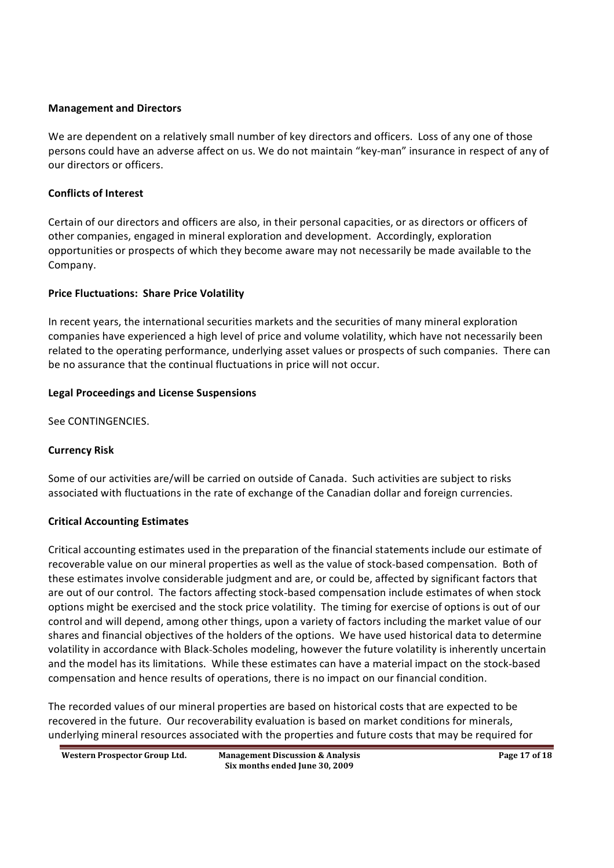#### **Management and Directors**

We are dependent on a relatively small number of key directors and officers. Loss of any one of those persons could have an adverse affect on us. We do not maintain "key-man" insurance in respect of any of our directors or officers.

#### **Conflicts of Interest**

Certain of our directors and officers are also, in their personal capacities, or as directors or officers of other companies, engaged in mineral exploration and development. Accordingly, exploration opportunities or prospects of which they become aware may not necessarily be made available to the Company.

#### **Price Fluctuations: Share Price Volatility**

In recent years, the international securities markets and the securities of many mineral exploration companies have experienced a high level of price and volume volatility, which have not necessarily been related to the operating performance, underlying asset values or prospects of such companies. There can be no assurance that the continual fluctuations in price will not occur.

#### **Legal Proceedings and License Suspensions**

See CONTINGENCIES.

### **Currency Risk**

Some of our activities are/will be carried on outside of Canada. Such activities are subject to risks associated with fluctuations in the rate of exchange of the Canadian dollar and foreign currencies.

### **Critical Accounting Estimates**

Critical accounting estimates used in the preparation of the financial statements include our estimate of recoverable value on our mineral properties as well as the value of stock based compensation. Both of these estimates involve considerable judgment and are, or could be, affected by significant factors that are out of our control. The factors affecting stock based compensation include estimates of when stock options might be exercised and the stock price volatility. The timing for exercise of options is out of our control and will depend, among other things, upon a variety of factors including the market value of our shares and financial objectives of the holders of the options. We have used historical data to determine volatility in accordance with Black Scholes modeling, however the future volatility is inherently uncertain and the model has its limitations. While these estimates can have a material impact on the stock based compensation and hence results of operations, there is no impact on our financial condition.

The recorded values of our mineral properties are based on historical costs that are expected to be recovered in the future. Our recoverability evaluation is based on market conditions for minerals, underlying mineral resources associated with the properties and future costs that may be required for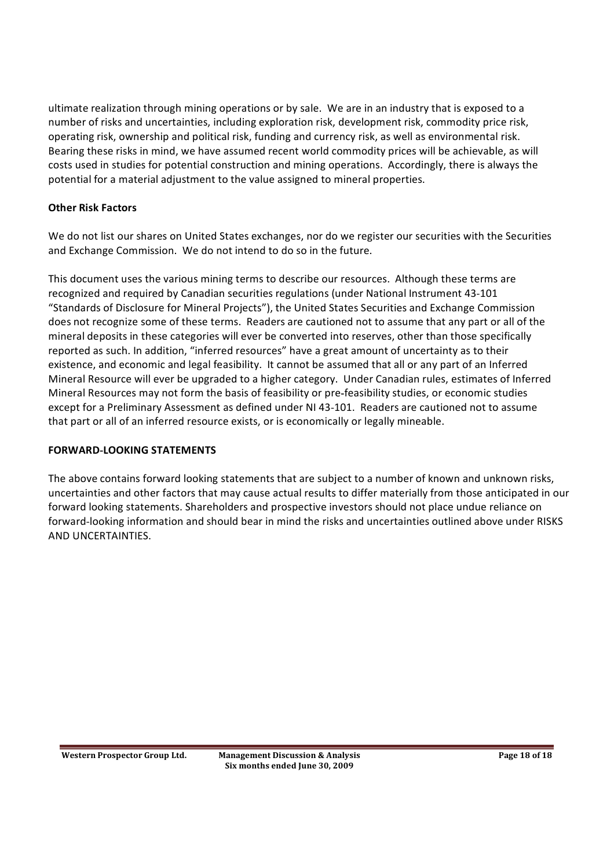ultimate realization through mining operations or by sale. We are in an industry that is exposed to a number of risks and uncertainties, including exploration risk, development risk, commodity price risk, operating risk, ownership and political risk, funding and currency risk, as well as environmental risk. Bearing these risks in mind, we have assumed recent world commodity prices will be achievable, as will costs used in studies for potential construction and mining operations. Accordingly, there is always the potential for a material adjustment to the value assigned to mineral properties.

### **Other Risk Factors**

We do not list our shares on United States exchanges, nor do we register our securities with the Securities and Exchange Commission. We do not intend to do so in the future.

This document uses the various mining terms to describe our resources. Although these terms are recognized and required by Canadian securities regulations (under National Instrument 43 101 "Standards of Disclosure for Mineral Projects"), the United States Securities and Exchange Commission does not recognize some of these terms. Readers are cautioned not to assume that any part or all of the mineral deposits in these categories will ever be converted into reserves, other than those specifically reported as such. In addition, "inferred resources" have a great amount of uncertainty as to their existence, and economic and legal feasibility. It cannot be assumed that all or any part of an Inferred Mineral Resource will ever be upgraded to a higher category. Under Canadian rules, estimates of Inferred Mineral Resources may not form the basis of feasibility or pre feasibility studies, or economic studies except for a Preliminary Assessment as defined under NI 43 101. Readers are cautioned not to assume that part or all of an inferred resource exists, or is economically or legally mineable.

### **FORWARD LOOKING STATEMENTS**

The above contains forward looking statements that are subject to a number of known and unknown risks, uncertainties and other factors that may cause actual results to differ materially from those anticipated in our forward looking statements. Shareholders and prospective investors should not place undue reliance on forward looking information and should bear in mind the risks and uncertainties outlined above under RISKS AND UNCERTAINTIES.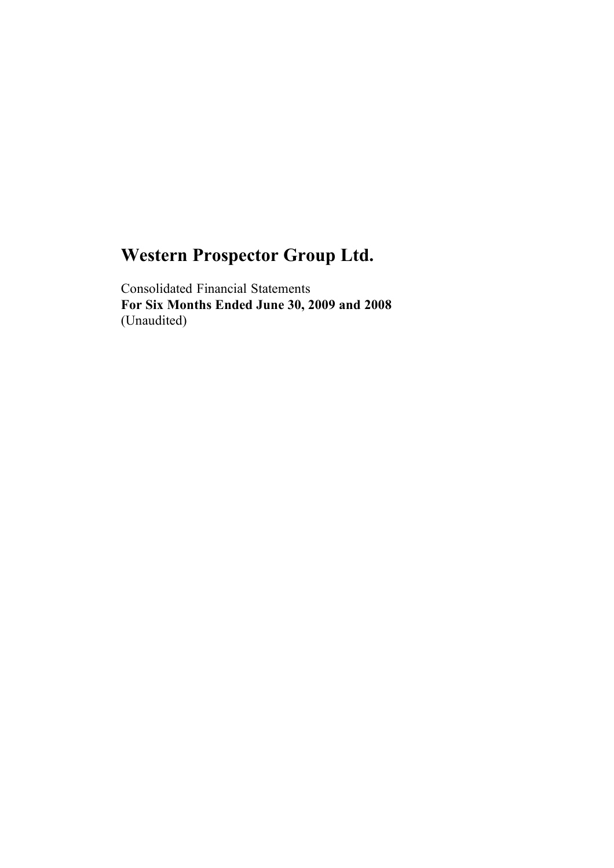Consolidated Financial Statements **For Six Months Ended June 30, 2009 and 2008**  (Unaudited)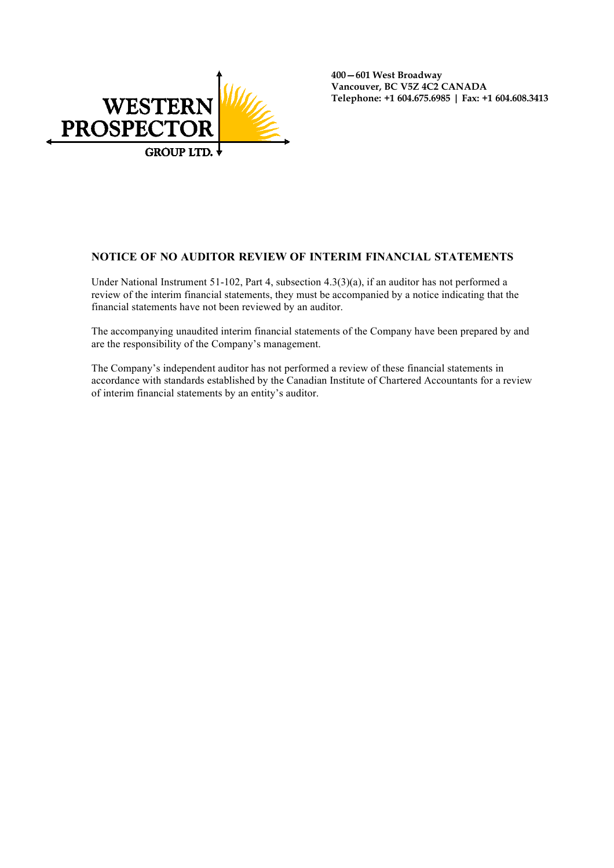

**400601 West Broadway Vancouver, BC V5Z 4C2 CANADA Telephone: +1 604.675.6985 | Fax: +1 604.608.3413** 

#### **NOTICE OF NO AUDITOR REVIEW OF INTERIM FINANCIAL STATEMENTS**

Under National Instrument 51-102, Part 4, subsection 4.3(3)(a), if an auditor has not performed a review of the interim financial statements, they must be accompanied by a notice indicating that the financial statements have not been reviewed by an auditor.

The accompanying unaudited interim financial statements of the Company have been prepared by and are the responsibility of the Company's management.

The Company's independent auditor has not performed a review of these financial statements in accordance with standards established by the Canadian Institute of Chartered Accountants for a review of interim financial statements by an entity's auditor.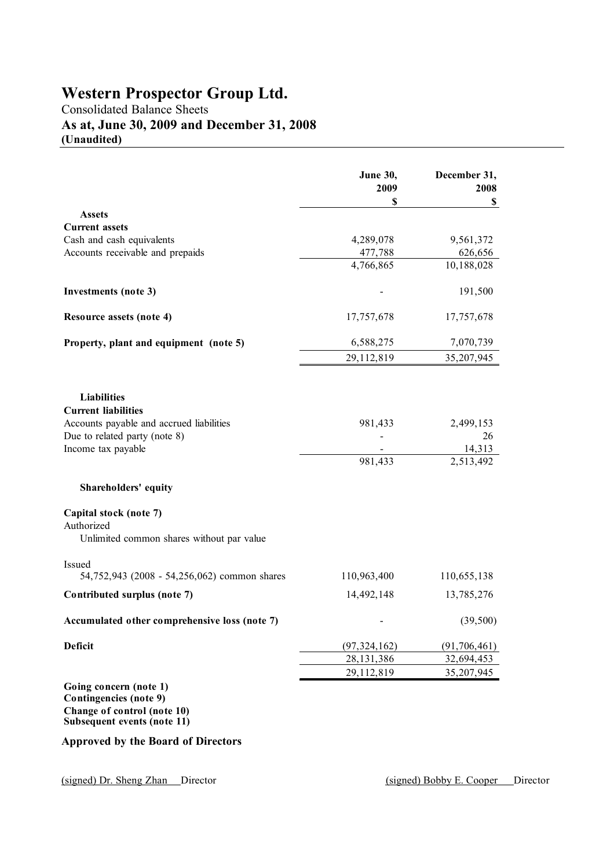## Consolidated Balance Sheets **As at, June 30, 2009 and December 31, 2008**

**(Unaudited)**

|                                                         | <b>June 30,</b><br>2009<br>\$ | December 31,<br>2008<br>\$ |
|---------------------------------------------------------|-------------------------------|----------------------------|
| <b>Assets</b>                                           |                               |                            |
| <b>Current assets</b>                                   |                               |                            |
| Cash and cash equivalents                               | 4,289,078                     | 9,561,372                  |
| Accounts receivable and prepaids                        | 477,788                       | 626,656                    |
|                                                         | 4,766,865                     | 10,188,028                 |
| Investments (note 3)                                    |                               | 191,500                    |
| Resource assets (note 4)                                | 17,757,678                    | 17,757,678                 |
| Property, plant and equipment (note 5)                  | 6,588,275                     | 7,070,739                  |
|                                                         | 29,112,819                    | 35,207,945                 |
| <b>Liabilities</b>                                      |                               |                            |
| <b>Current liabilities</b>                              |                               |                            |
| Accounts payable and accrued liabilities                | 981,433                       | 2,499,153                  |
| Due to related party (note 8)                           |                               | 26                         |
| Income tax payable                                      |                               | 14,313                     |
|                                                         | 981,433                       | 2,513,492                  |
| Shareholders' equity                                    |                               |                            |
| Capital stock (note 7)                                  |                               |                            |
| Authorized<br>Unlimited common shares without par value |                               |                            |
| Issued                                                  |                               |                            |
| 54,752,943 (2008 - 54,256,062) common shares            | 110,963,400                   | 110,655,138                |
| Contributed surplus (note 7)                            | 14,492,148                    | 13,785,276                 |
| Accumulated other comprehensive loss (note 7)           |                               | (39, 500)                  |
| <b>Deficit</b>                                          | (97, 324, 162)                | (91, 706, 461)             |
|                                                         | 28, 131, 386                  | 32,694,453                 |
|                                                         | 29,112,819                    | 35,207,945                 |
| Going concern (note 1)<br><b>Contingencies</b> (note 9) |                               |                            |

**Change of control (note 10) Subsequent events (note 11)**

#### **Approved by the Board of Directors**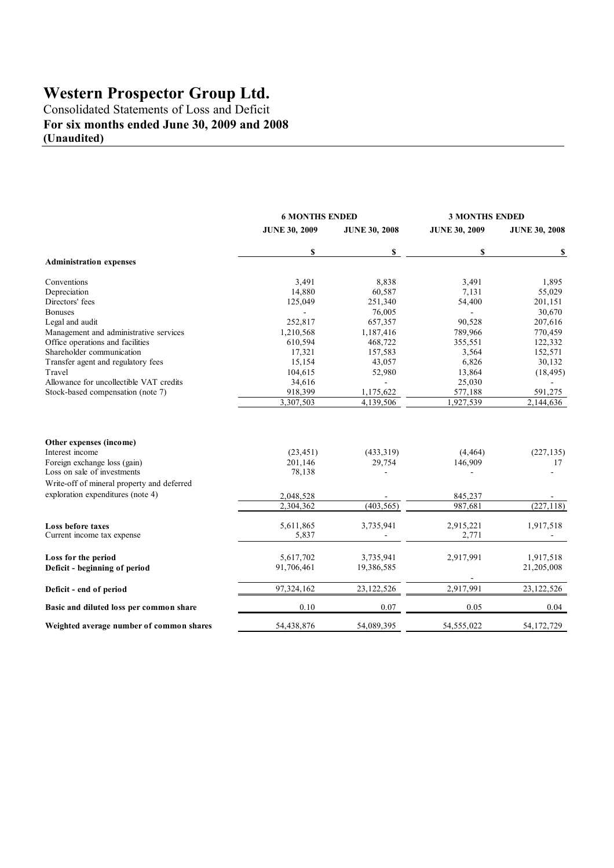Consolidated Statements of Loss and Deficit **For six months ended June 30, 2009 and 2008 (Unaudited)**

|                                                                                                           | <b>6 MONTHS ENDED</b>          | <b>3 MONTHS ENDED</b> |                      |                        |  |
|-----------------------------------------------------------------------------------------------------------|--------------------------------|-----------------------|----------------------|------------------------|--|
|                                                                                                           | <b>JUNE 30, 2009</b>           | <b>JUNE 30, 2008</b>  | <b>JUNE 30, 2009</b> | <b>JUNE 30, 2008</b>   |  |
|                                                                                                           | \$                             | \$                    | \$                   | \$                     |  |
| <b>Administration expenses</b>                                                                            |                                |                       |                      |                        |  |
| Conventions                                                                                               | 3,491                          | 8,838                 | 3,491                | 1,895                  |  |
| Depreciation                                                                                              | 14,880                         | 60,587                | 7,131                | 55,029                 |  |
| Directors' fees                                                                                           | 125,049                        | 251,340               | 54,400               | 201,151                |  |
| <b>Bonuses</b>                                                                                            |                                | 76,005                | $\sim$               | 30,670                 |  |
| Legal and audit                                                                                           | 252,817                        | 657,357               | 90,528               | 207,616                |  |
| Management and administrative services                                                                    | 1,210,568                      | 1,187,416             | 789,966              | 770,459                |  |
| Office operations and facilities                                                                          | 610,594                        | 468,722               | 355,551              | 122,332                |  |
| Shareholder communication                                                                                 | 17,321                         | 157,583               | 3,564                | 152,571                |  |
| Transfer agent and regulatory fees                                                                        | 15,154                         | 43,057                | 6,826                | 30,132                 |  |
| Travel                                                                                                    | 104,615                        | 52,980                | 13,864               | (18, 495)              |  |
| Allowance for uncollectible VAT credits                                                                   | 34,616                         | $\blacksquare$        | 25,030               |                        |  |
| Stock-based compensation (note 7)                                                                         | 918,399                        | 1,175,622             | 577,188              | 591,275                |  |
|                                                                                                           | 3,307,503                      | 4,139,506             | 1,927,539            | $\overline{2,144,636}$ |  |
| Other expenses (income)<br>Interest income<br>Foreign exchange loss (gain)<br>Loss on sale of investments | (23, 451)<br>201,146<br>78,138 | (433,319)<br>29,754   | (4, 464)<br>146,909  | (227, 135)<br>17       |  |
| Write-off of mineral property and deferred                                                                |                                |                       |                      |                        |  |
| exploration expenditures (note 4)                                                                         |                                |                       |                      |                        |  |
|                                                                                                           | 2,048,528                      |                       | 845,237<br>987,681   |                        |  |
|                                                                                                           | 2,304,362                      | (403, 565)            |                      | (227, 118)             |  |
| Loss before taxes<br>Current income tax expense                                                           | 5,611,865<br>5,837             | 3,735,941             | 2,915,221<br>2,771   | 1,917,518              |  |
| Loss for the period                                                                                       | 5,617,702                      | 3,735,941             | 2,917,991            | 1,917,518              |  |
| Deficit - beginning of period                                                                             | 91,706,461                     | 19,386,585            |                      | 21,205,008             |  |
| Deficit - end of period                                                                                   | 97,324,162                     | 23, 122, 526          | 2,917,991            | 23, 122, 526           |  |
| Basic and diluted loss per common share                                                                   | 0.10                           | 0.07                  | 0.05                 | 0.04                   |  |
| Weighted average number of common shares                                                                  | 54,438,876                     | 54,089,395            | 54,555,022           | 54, 172, 729           |  |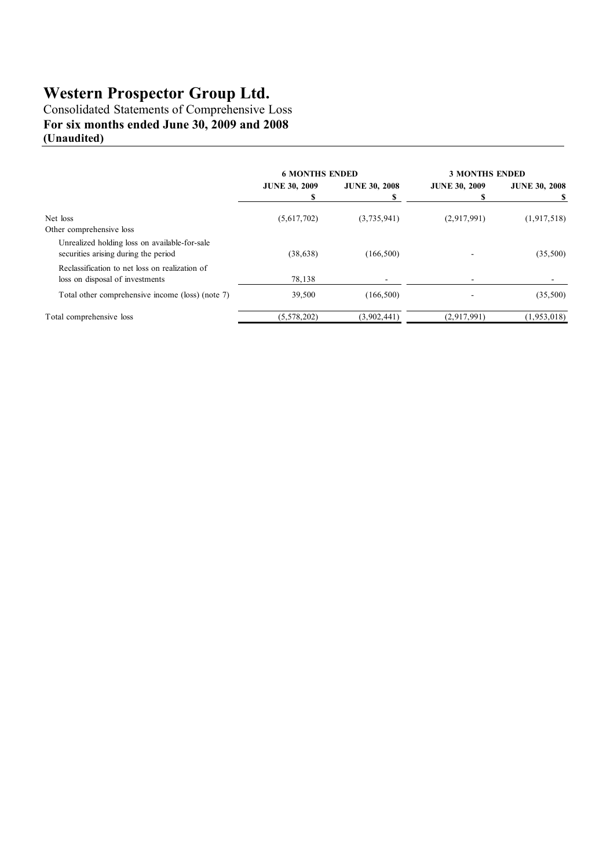Consolidated Statements of Comprehensive Loss **For six months ended June 30, 2009 and 2008 (Unaudited)**

|                                                                                       | <b>6 MONTHS ENDED</b> |                           | <b>3 MONTHS ENDED</b> |                      |
|---------------------------------------------------------------------------------------|-----------------------|---------------------------|-----------------------|----------------------|
|                                                                                       | <b>JUNE 30, 2009</b>  | <b>JUNE 30, 2008</b><br>s | <b>JUNE 30, 2009</b>  | <b>JUNE 30, 2008</b> |
| Net loss<br>Other comprehensive loss                                                  | (5,617,702)           | (3,735,941)               | (2,917,991)           | (1, 917, 518)        |
| Unrealized holding loss on available-for-sale<br>securities arising during the period | (38, 638)             | (166, 500)                |                       | (35,500)             |
| Reclassification to net loss on realization of<br>loss on disposal of investments     | 78,138                |                           |                       |                      |
| Total other comprehensive income (loss) (note 7)                                      | 39,500                | (166, 500)                |                       | (35,500)             |
| Total comprehensive loss                                                              | (5,578,202)           | (3,902,441)               | (2,917,991)           | (1, 953, 018)        |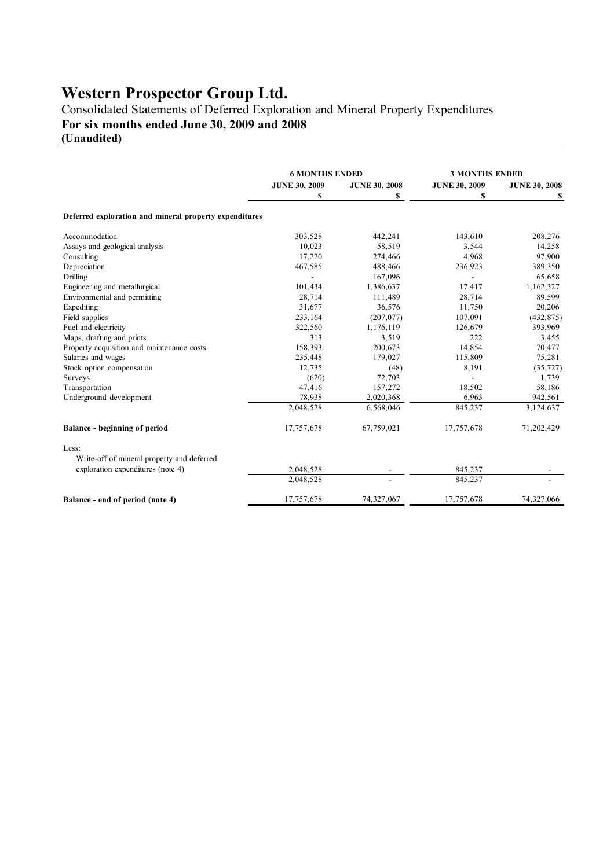Consolidated Statements of Deferred Exploration and Mineral Property Expenditures **For six months ended June 30, 2009 and 2008** 

**(Unaudited)**

|                                                        | <b>6 MONTHS ENDED</b> |                      | <b>3 MONTHS ENDED</b> |                      |
|--------------------------------------------------------|-----------------------|----------------------|-----------------------|----------------------|
|                                                        | <b>JUNE 30, 2009</b>  | <b>JUNE 30, 2008</b> | <b>JUNE 30, 2009</b>  | <b>JUNE 30, 2008</b> |
|                                                        | S                     | S                    | S                     | s                    |
| Deferred exploration and mineral property expenditures |                       |                      |                       |                      |
| Accommodation                                          | 303,528               | 442,241              | 143,610               | 208,276              |
| Assays and geological analysis                         | 10,023                | 58,519               | 3,544                 | 14,258               |
| Consulting                                             | 17,220                | 274,466              | 4,968                 | 97,900               |
| Depreciation                                           | 467,585               | 488,466              | 236,923               | 389,350              |
| Drilling                                               |                       | 167,096              | $\overline{a}$        | 65,658               |
| Engineering and metallurgical                          | 101,434               | 1,386,637            | 17,417                | 1,162,327            |
| Environmental and permitting                           | 28,714                | 111,489              | 28,714                | 89,599               |
| Expediting                                             | 31,677                | 36,576               | 11,750                | 20,206               |
| Field supplies                                         | 233,164               | (207, 077)           | 107,091               | (432, 875)           |
| Fuel and electricity                                   | 322,560               | 1,176,119            | 126,679               | 393,969              |
| Maps, drafting and prints                              | 313                   | 3,519                | 222                   | 3,455                |
| Property acquisition and maintenance costs             | 158,393               | 200,673              | 14,854                | 70,477               |
| Salaries and wages                                     | 235,448               | 179,027              | 115,809               | 75,281               |
| Stock option compensation                              | 12,735                | (48)                 | 8,191                 | (35, 727)            |
| Surveys                                                | (620)                 | 72,703               |                       | 1,739                |
| Transportation                                         | 47,416                | 157,272              | 18,502                | 58,186               |
| Underground development                                | 78,938                | 2,020,368            | 6,963                 | 942,561              |
|                                                        | 2,048,528             | 6,568,046            | 845,237               | 3,124,637            |
| Balance - beginning of period                          | 17,757,678            | 67,759,021           | 17,757,678            | 71,202,429           |
| Less:                                                  |                       |                      |                       |                      |
| Write-off of mineral property and deferred             |                       |                      |                       |                      |
| exploration expenditures (note 4)                      | 2,048,528             |                      | 845,237               |                      |
|                                                        | 2,048,528             |                      | 845,237               |                      |
| Balance - end of period (note 4)                       | 17,757,678            | 74,327,067           | 17,757,678            | 74,327,066           |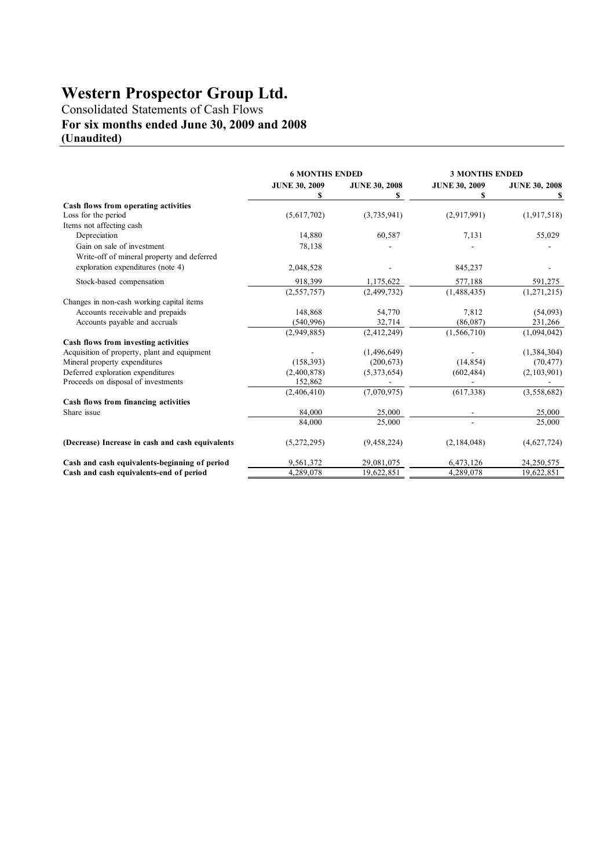Consolidated Statements of Cash Flows **For six months ended June 30, 2009 and 2008 (Unaudited)**

|                                                  | <b>6 MONTHS ENDED</b> |                      | <b>3 MONTHS ENDED</b> |                      |
|--------------------------------------------------|-----------------------|----------------------|-----------------------|----------------------|
|                                                  | <b>JUNE 30, 2009</b>  | <b>JUNE 30, 2008</b> | <b>JUNE 30, 2009</b>  | <b>JUNE 30, 2008</b> |
|                                                  |                       | \$                   |                       |                      |
| Cash flows from operating activities             |                       |                      |                       |                      |
| Loss for the period                              | (5,617,702)           | (3,735,941)          | (2,917,991)           | (1, 917, 518)        |
| Items not affecting cash                         |                       |                      |                       |                      |
| Depreciation                                     | 14,880                | 60,587               | 7,131                 | 55,029               |
| Gain on sale of investment                       | 78,138                |                      |                       |                      |
| Write-off of mineral property and deferred       |                       |                      |                       |                      |
| exploration expenditures (note 4)                | 2,048,528             |                      | 845,237               |                      |
| Stock-based compensation                         | 918,399               | 1,175,622            | 577,188               | 591,275              |
|                                                  | (2, 557, 757)         | (2,499,732)          | (1,488,435)           | (1, 271, 215)        |
| Changes in non-cash working capital items        |                       |                      |                       |                      |
| Accounts receivable and prepaids                 | 148,868               | 54,770               | 7,812                 | (54,093)             |
| Accounts payable and accruals                    | (540, 996)            | 32,714               | (86,087)              | 231,266              |
|                                                  | (2,949,885)           | (2,412,249)          | (1, 566, 710)         | (1,094,042)          |
| Cash flows from investing activities             |                       |                      |                       |                      |
| Acquisition of property, plant and equipment     |                       | (1,496,649)          |                       | (1,384,304)          |
| Mineral property expenditures                    | (158, 393)            | (200, 673)           | (14, 854)             | (70, 477)            |
| Deferred exploration expenditures                | (2,400,878)           | (5,373,654)          | (602, 484)            | (2,103,901)          |
| Proceeds on disposal of investments              | 152,862               |                      |                       |                      |
|                                                  | (2,406,410)           | (7,070,975)          | (617, 338)            | (3,558,682)          |
| Cash flows from financing activities             |                       |                      |                       |                      |
| Share issue                                      | 84,000                | 25,000               |                       | 25,000               |
|                                                  | 84,000                | 25,000               |                       | 25,000               |
| (Decrease) Increase in cash and cash equivalents | (5,272,295)           | (9, 458, 224)        | (2, 184, 048)         | (4,627,724)          |
| Cash and cash equivalents-beginning of period    | 9,561,372             | 29,081,075           | 6,473,126             | 24,250,575           |
| Cash and cash equivalents-end of period          | 4,289,078             | 19,622,851           | 4,289,078             | 19,622,851           |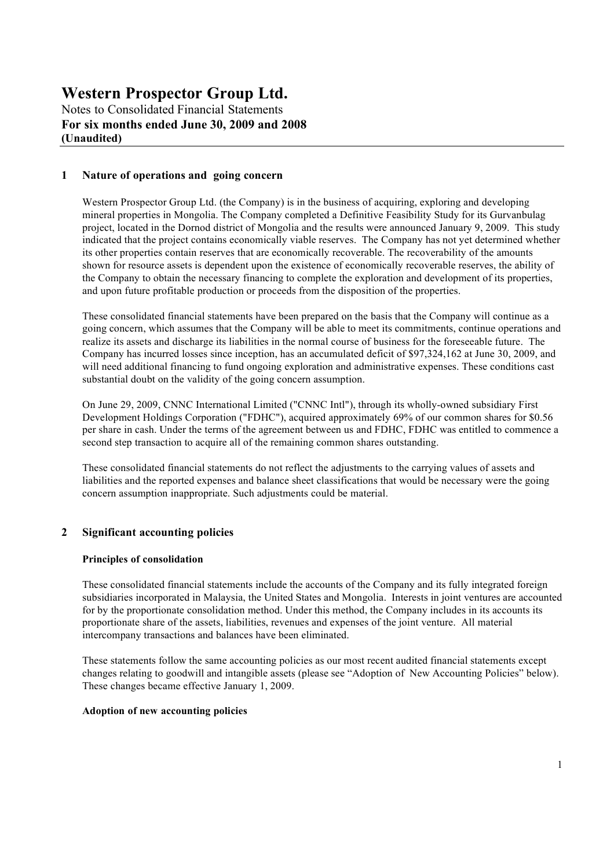Notes to Consolidated Financial Statements **For six months ended June 30, 2009 and 2008 (Unaudited)**

### **1 Nature of operations and going concern**

Western Prospector Group Ltd. (the Company) is in the business of acquiring, exploring and developing mineral properties in Mongolia. The Company completed a Definitive Feasibility Study for its Gurvanbulag project, located in the Dornod district of Mongolia and the results were announced January 9, 2009. This study indicated that the project contains economically viable reserves. The Company has not yet determined whether its other properties contain reserves that are economically recoverable. The recoverability of the amounts shown for resource assets is dependent upon the existence of economically recoverable reserves, the ability of the Company to obtain the necessary financing to complete the exploration and development of its properties, and upon future profitable production or proceeds from the disposition of the properties.

These consolidated financial statements have been prepared on the basis that the Company will continue as a going concern, which assumes that the Company will be able to meet its commitments, continue operations and realize its assets and discharge its liabilities in the normal course of business for the foreseeable future. The Company has incurred losses since inception, has an accumulated deficit of \$97,324,162 at June 30, 2009, and will need additional financing to fund ongoing exploration and administrative expenses. These conditions cast substantial doubt on the validity of the going concern assumption.

On June 29, 2009, CNNC International Limited ("CNNC Intl"), through its wholly-owned subsidiary First Development Holdings Corporation ("FDHC"), acquired approximately 69% of our common shares for \$0.56 per share in cash. Under the terms of the agreement between us and FDHC, FDHC was entitled to commence a second step transaction to acquire all of the remaining common shares outstanding.

These consolidated financial statements do not reflect the adjustments to the carrying values of assets and liabilities and the reported expenses and balance sheet classifications that would be necessary were the going concern assumption inappropriate. Such adjustments could be material.

### **2 Significant accounting policies**

#### **Principles of consolidation**

These consolidated financial statements include the accounts of the Company and its fully integrated foreign subsidiaries incorporated in Malaysia, the United States and Mongolia. Interests in joint ventures are accounted for by the proportionate consolidation method. Under this method, the Company includes in its accounts its proportionate share of the assets, liabilities, revenues and expenses of the joint venture. All material intercompany transactions and balances have been eliminated.

These statements follow the same accounting policies as our most recent audited financial statements except changes relating to goodwill and intangible assets (please see "Adoption of New Accounting Policies" below). These changes became effective January 1, 2009.

#### **Adoption of new accounting policies**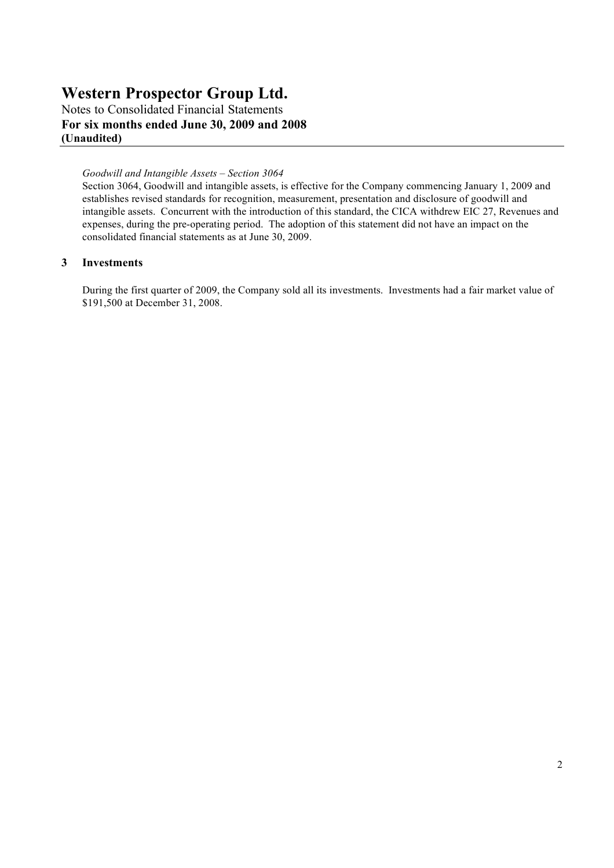Notes to Consolidated Financial Statements **For six months ended June 30, 2009 and 2008 (Unaudited)**

#### *Goodwill and Intangible Assets – Section 3064*

Section 3064, Goodwill and intangible assets, is effective for the Company commencing January 1, 2009 and establishes revised standards for recognition, measurement, presentation and disclosure of goodwill and intangible assets. Concurrent with the introduction of this standard, the CICA withdrew EIC 27, Revenues and expenses, during the pre-operating period. The adoption of this statement did not have an impact on the consolidated financial statements as at June 30, 2009.

#### **3 Investments**

During the first quarter of 2009, the Company sold all its investments. Investments had a fair market value of \$191,500 at December 31, 2008.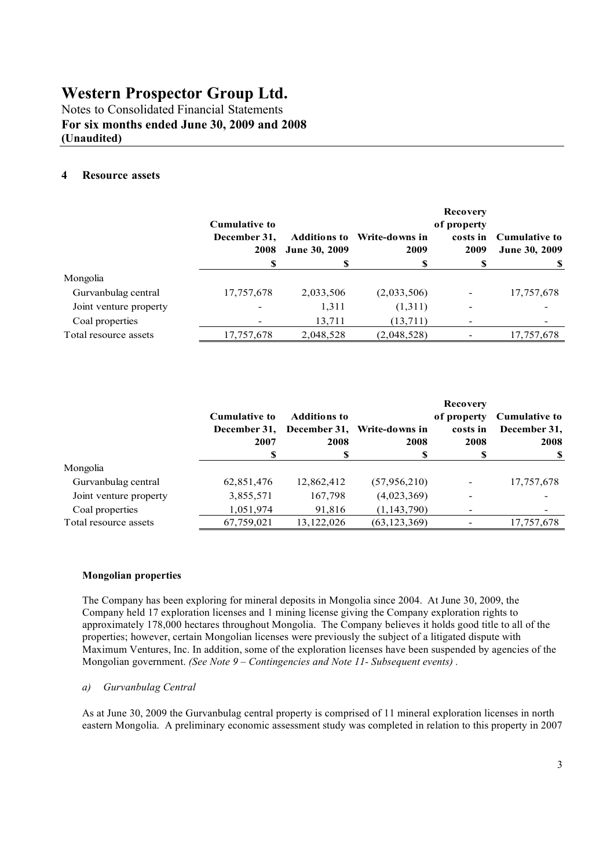Notes to Consolidated Financial Statements **For six months ended June 30, 2009 and 2008 (Unaudited)**

### **4 Resource assets**

|                        | <b>Cumulative to</b><br>December 31,<br>2008<br>S | <b>Additions to</b><br>June 30, 2009<br>\$ | Write-downs in<br>2009<br>\$ | <b>Recovery</b><br>of property<br>costs in<br>2009 | <b>Cumulative to</b><br><b>June 30, 2009</b> |
|------------------------|---------------------------------------------------|--------------------------------------------|------------------------------|----------------------------------------------------|----------------------------------------------|
| Mongolia               |                                                   |                                            |                              |                                                    |                                              |
| Gurvanbulag central    | 17,757,678                                        | 2,033,506                                  | (2,033,506)                  |                                                    | 17,757,678                                   |
| Joint venture property | $\overline{\phantom{a}}$                          | 1,311                                      | (1,311)                      | $\overline{\phantom{a}}$                           |                                              |
| Coal properties        |                                                   | 13,711                                     | (13,711)                     |                                                    |                                              |
| Total resource assets  | 17,757,678                                        | 2,048,528                                  | (2,048,528)                  |                                                    | 17,757,678                                   |

|                        | <b>Cumulative to</b><br>December 31,<br>2007 | <b>Additions to</b><br>2008<br>S | December 31, Write-downs in<br>2008 | <b>Recovery</b><br>of property<br>costs in<br>2008 | <b>Cumulative to</b><br>December 31,<br>2008 |
|------------------------|----------------------------------------------|----------------------------------|-------------------------------------|----------------------------------------------------|----------------------------------------------|
| Mongolia               |                                              |                                  |                                     |                                                    |                                              |
| Gurvanbulag central    | 62,851,476                                   | 12,862,412                       | (57, 956, 210)                      |                                                    | 17,757,678                                   |
| Joint venture property | 3,855,571                                    | 167,798                          | (4,023,369)                         |                                                    |                                              |
| Coal properties        | 1,051,974                                    | 91,816                           | (1, 143, 790)                       |                                                    |                                              |
| Total resource assets  | 67,759,021                                   | 13, 122, 026                     | (63, 123, 369)                      |                                                    | 17,757,678                                   |

#### **Mongolian properties**

The Company has been exploring for mineral deposits in Mongolia since 2004. At June 30, 2009, the Company held 17 exploration licenses and 1 mining license giving the Company exploration rights to approximately 178,000 hectares throughout Mongolia. The Company believes it holds good title to all of the properties; however, certain Mongolian licenses were previously the subject of a litigated dispute with Maximum Ventures, Inc. In addition, some of the exploration licenses have been suspended by agencies of the Mongolian government. *(See Note 9 – Contingencies and Note 11- Subsequent events)*.

#### *a) Gurvanbulag Central*

As at June 30, 2009 the Gurvanbulag central property is comprised of 11 mineral exploration licenses in north eastern Mongolia. A preliminary economic assessment study was completed in relation to this property in 2007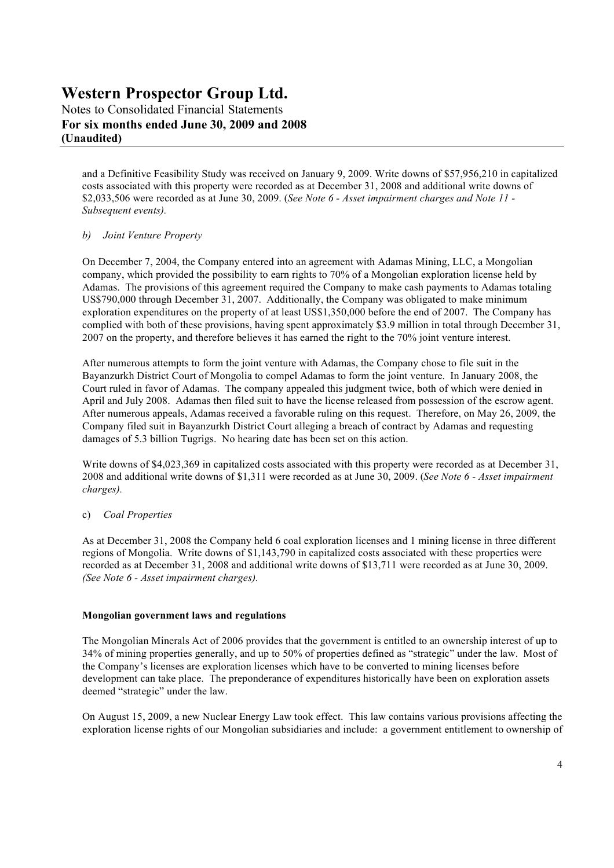Notes to Consolidated Financial Statements **For six months ended June 30, 2009 and 2008 (Unaudited)**

and a Definitive Feasibility Study was received on January 9, 2009. Write downs of \$57,956,210 in capitalized costs associated with this property were recorded as at December 31, 2008 and additional write downs of \$2,033,506 were recorded as at June 30, 2009. (*See Note 6 - Asset impairment charges and Note 11 -Subsequent events).* 

#### *b) Joint Venture Property*

On December 7, 2004, the Company entered into an agreement with Adamas Mining, LLC, a Mongolian company, which provided the possibility to earn rights to 70% of a Mongolian exploration license held by Adamas. The provisions of this agreement required the Company to make cash payments to Adamas totaling US\$790,000 through December 31, 2007. Additionally, the Company was obligated to make minimum exploration expenditures on the property of at least US\$1,350,000 before the end of 2007. The Company has complied with both of these provisions, having spent approximately \$3.9 million in total through December 31, 2007 on the property, and therefore believes it has earned the right to the 70% joint venture interest.

After numerous attempts to form the joint venture with Adamas, the Company chose to file suit in the Bayanzurkh District Court of Mongolia to compel Adamas to form the joint venture. In January 2008, the Court ruled in favor of Adamas. The company appealed this judgment twice, both of which were denied in April and July 2008. Adamas then filed suit to have the license released from possession of the escrow agent. After numerous appeals, Adamas received a favorable ruling on this request. Therefore, on May 26, 2009, the Company filed suit in Bayanzurkh District Court alleging a breach of contract by Adamas and requesting damages of 5.3 billion Tugrigs. No hearing date has been set on this action.

Write downs of \$4,023,369 in capitalized costs associated with this property were recorded as at December 31, 2008 and additional write downs of \$1,311 were recorded as at June 30, 2009. (*See ote 6 - Asset impairment charges).*

#### c) *Coal Properties*

As at December 31, 2008 the Company held 6 coal exploration licenses and 1 mining license in three different regions of Mongolia. Write downs of \$1,143,790 in capitalized costs associated with these properties were recorded as at December 31, 2008 and additional write downs of \$13,711 were recorded as at June 30, 2009. *(See Note 6 - Asset impairment charges).* 

#### **Mongolian government laws and regulations**

The Mongolian Minerals Act of 2006 provides that the government is entitled to an ownership interest of up to 34% of mining properties generally, and up to 50% of properties defined as "strategic" under the law. Most of the Company's licenses are exploration licenses which have to be converted to mining licenses before development can take place. The preponderance of expenditures historically have been on exploration assets deemed "strategic" under the law.

On August 15, 2009, a new Nuclear Energy Law took effect. This law contains various provisions affecting the exploration license rights of our Mongolian subsidiaries and include: a government entitlement to ownership of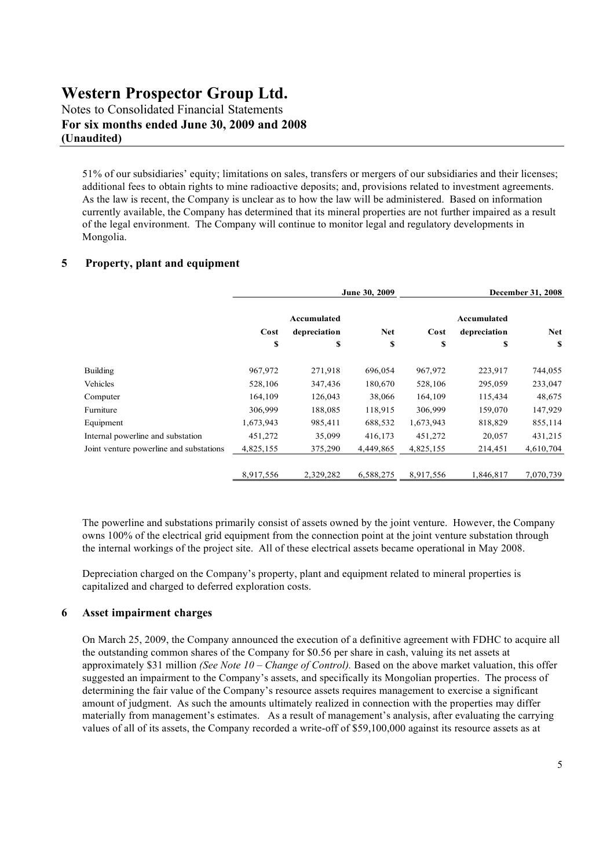Notes to Consolidated Financial Statements **For six months ended June 30, 2009 and 2008 (Unaudited)**

51% of our subsidiaries' equity; limitations on sales, transfers or mergers of our subsidiaries and their licenses; additional fees to obtain rights to mine radioactive deposits; and, provisions related to investment agreements. As the law is recent, the Company is unclear as to how the law will be administered. Based on information currently available, the Company has determined that its mineral properties are not further impaired as a result of the legal environment. The Company will continue to monitor legal and regulatory developments in Mongolia.

#### **5 Property, plant and equipment**

|                                         | June 30, 2009 |              |            | <b>December 31, 2008</b> |              |            |
|-----------------------------------------|---------------|--------------|------------|--------------------------|--------------|------------|
|                                         |               | Accumulated  |            |                          | Accumulated  |            |
|                                         | Cost          | depreciation | <b>Net</b> | Cost                     | depreciation | <b>Net</b> |
|                                         | \$            | \$           | \$         | S                        | \$           | S          |
| <b>Building</b>                         | 967,972       | 271,918      | 696,054    | 967,972                  | 223,917      | 744,055    |
| Vehicles                                | 528,106       | 347,436      | 180,670    | 528,106                  | 295,059      | 233,047    |
| Computer                                | 164,109       | 126,043      | 38,066     | 164,109                  | 115,434      | 48,675     |
| Furniture                               | 306,999       | 188,085      | 118,915    | 306,999                  | 159,070      | 147,929    |
| Equipment                               | 1,673,943     | 985,411      | 688,532    | 1,673,943                | 818,829      | 855,114    |
| Internal powerline and substation       | 451,272       | 35,099       | 416,173    | 451,272                  | 20,057       | 431,215    |
| Joint venture powerline and substations | 4,825,155     | 375,290      | 4,449,865  | 4,825,155                | 214,451      | 4,610,704  |
|                                         | 8,917,556     | 2,329,282    | 6,588,275  | 8,917,556                | 1,846,817    | 7,070,739  |

The powerline and substations primarily consist of assets owned by the joint venture. However, the Company owns 100% of the electrical grid equipment from the connection point at the joint venture substation through the internal workings of the project site. All of these electrical assets became operational in May 2008.

Depreciation charged on the Company's property, plant and equipment related to mineral properties is capitalized and charged to deferred exploration costs.

#### **6 Asset impairment charges**

On March 25, 2009, the Company announced the execution of a definitive agreement with FDHC to acquire all the outstanding common shares of the Company for \$0.56 per share in cash, valuing its net assets at approximately \$31 million *(See Note 10 – Change of Control)*. Based on the above market valuation, this offer suggested an impairment to the Company's assets, and specifically its Mongolian properties. The process of determining the fair value of the Company's resource assets requires management to exercise a significant amount of judgment. As such the amounts ultimately realized in connection with the properties may differ materially from management's estimates. As a result of management's analysis, after evaluating the carrying values of all of its assets, the Company recorded a write-off of \$59,100,000 against its resource assets as at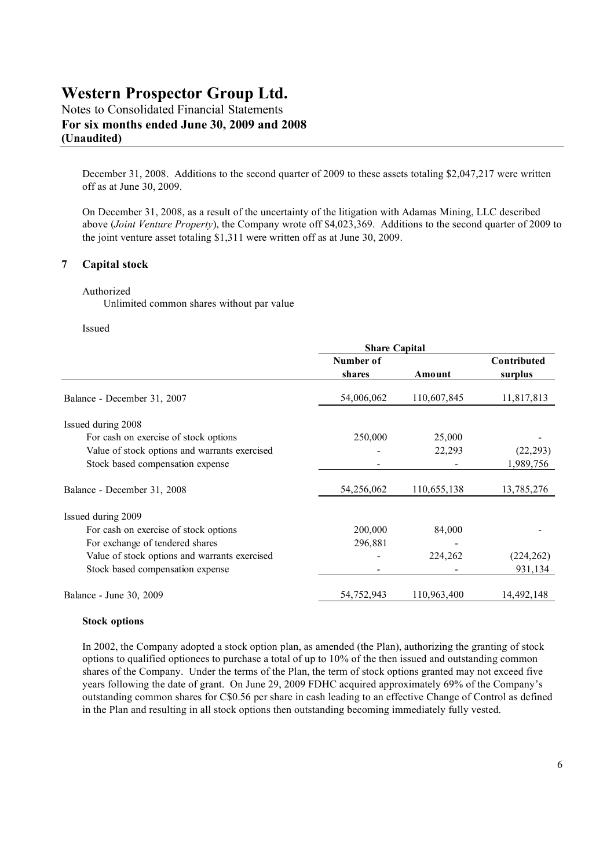Notes to Consolidated Financial Statements **For six months ended June 30, 2009 and 2008 (Unaudited)**

December 31, 2008. Additions to the second quarter of 2009 to these assets totaling \$2,047,217 were written off as at June 30, 2009.

On December 31, 2008, as a result of the uncertainty of the litigation with Adamas Mining, LLC described above (*Joint Venture Property*), the Company wrote off \$4,023,369. Additions to the second quarter of 2009 to the joint venture asset totaling \$1,311 were written off as at June 30, 2009.

#### **7 Capital stock**

#### Authorized

Unlimited common shares without par value

#### Issued

|            | Contributed |                      |
|------------|-------------|----------------------|
| Number of  |             |                      |
| shares     | Amount      | surplus              |
| 54,006,062 | 110,607,845 | 11,817,813           |
|            |             |                      |
| 250,000    | 25,000      |                      |
|            | 22,293      | (22, 293)            |
|            |             | 1,989,756            |
| 54,256,062 | 110,655,138 | 13,785,276           |
|            |             |                      |
| 200,000    | 84,000      |                      |
| 296,881    |             |                      |
|            | 224,262     | (224, 262)           |
|            |             | 931,134              |
| 54,752,943 | 110,963,400 | 14,492,148           |
|            |             | <b>Share Capital</b> |

#### **Stock options**

In 2002, the Company adopted a stock option plan, as amended (the Plan), authorizing the granting of stock options to qualified optionees to purchase a total of up to 10% of the then issued and outstanding common shares of the Company. Under the terms of the Plan, the term of stock options granted may not exceed five years following the date of grant. On June 29, 2009 FDHC acquired approximately 69% of the Company's outstanding common shares for C\$0.56 per share in cash leading to an effective Change of Control as defined in the Plan and resulting in all stock options then outstanding becoming immediately fully vested.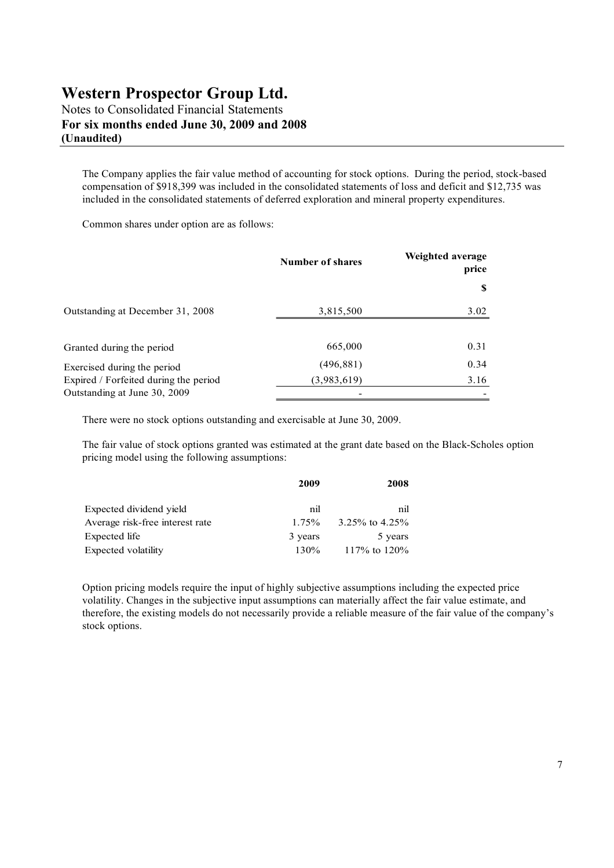Notes to Consolidated Financial Statements **For six months ended June 30, 2009 and 2008 (Unaudited)**

The Company applies the fair value method of accounting for stock options. During the period, stock-based compensation of \$918,399 was included in the consolidated statements of loss and deficit and \$12,735 was included in the consolidated statements of deferred exploration and mineral property expenditures.

Common shares under option are as follows:

|                                                                       | <b>Number of shares</b> | Weighted average<br>price |
|-----------------------------------------------------------------------|-------------------------|---------------------------|
|                                                                       |                         | S                         |
| Outstanding at December 31, 2008                                      | 3,815,500               | 3.02                      |
| Granted during the period                                             | 665,000                 | 0.31                      |
| Exercised during the period                                           | (496, 881)              | 0.34                      |
| Expired / Forfeited during the period<br>Outstanding at June 30, 2009 | (3,983,619)             | 3.16                      |

There were no stock options outstanding and exercisable at June 30, 2009.

The fair value of stock options granted was estimated at the grant date based on the Black-Scholes option pricing model using the following assumptions:

|                                 | 2009    | 2008             |
|---------------------------------|---------|------------------|
| Expected dividend yield         | nil     | nil              |
| Average risk-free interest rate | 1.75%   | 3.25\% to 4.25\% |
| Expected life                   | 3 years | 5 years          |
| Expected volatility             | 130%    | 117\% to 120\%   |

Option pricing models require the input of highly subjective assumptions including the expected price volatility. Changes in the subjective input assumptions can materially affect the fair value estimate, and therefore, the existing models do not necessarily provide a reliable measure of the fair value of the company's stock options.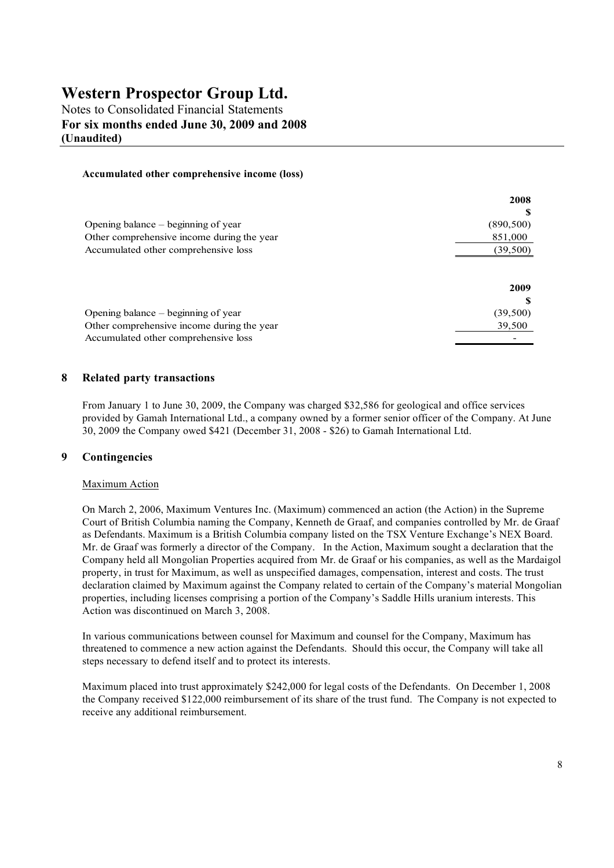Notes to Consolidated Financial Statements **For six months ended June 30, 2009 and 2008 (Unaudited)**

#### **Accumulated other comprehensive income (loss)**

|                                            | 2008       |
|--------------------------------------------|------------|
|                                            |            |
| Opening balance $-$ beginning of year      | (890, 500) |
| Other comprehensive income during the year | 851,000    |
| Accumulated other comprehensive loss       | (39, 500)  |
|                                            | 2009       |
|                                            |            |
| Opening balance $-$ beginning of year      | (39,500)   |
| Other comprehensive income during the year | 39,500     |
| Accumulated other comprehensive loss       |            |

#### **8 Related party transactions**

From January 1 to June 30, 2009, the Company was charged \$32,586 for geological and office services provided by Gamah International Ltd., a company owned by a former senior officer of the Company. At June 30, 2009 the Company owed \$421 (December 31, 2008 - \$26) to Gamah International Ltd.

#### **9 Contingencies**

#### Maximum Action

On March 2, 2006, Maximum Ventures Inc. (Maximum) commenced an action (the Action) in the Supreme Court of British Columbia naming the Company, Kenneth de Graaf, and companies controlled by Mr. de Graaf as Defendants. Maximum is a British Columbia company listed on the TSX Venture Exchange's NEX Board. Mr. de Graaf was formerly a director of the Company. In the Action, Maximum sought a declaration that the Company held all Mongolian Properties acquired from Mr. de Graaf or his companies, as well as the Mardaigol property, in trust for Maximum, as well as unspecified damages, compensation, interest and costs. The trust declaration claimed by Maximum against the Company related to certain of the Company's material Mongolian properties, including licenses comprising a portion of the Company's Saddle Hills uranium interests. This Action was discontinued on March 3, 2008.

In various communications between counsel for Maximum and counsel for the Company, Maximum has threatened to commence a new action against the Defendants. Should this occur, the Company will take all steps necessary to defend itself and to protect its interests.

Maximum placed into trust approximately \$242,000 for legal costs of the Defendants. On December 1, 2008 the Company received \$122,000 reimbursement of its share of the trust fund. The Company is not expected to receive any additional reimbursement.